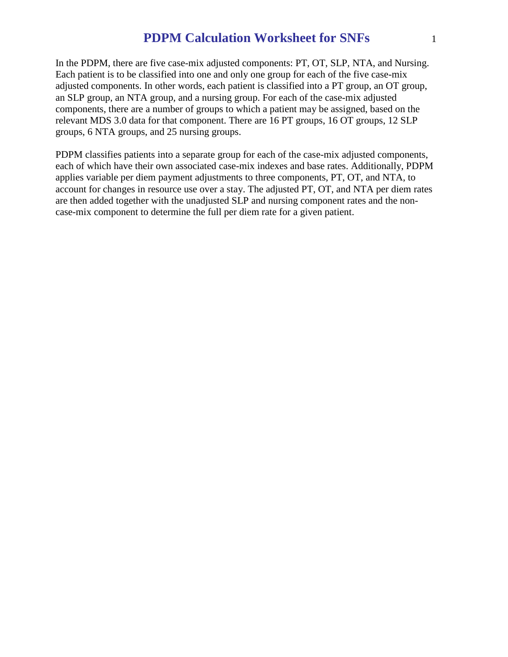In the PDPM, there are five case-mix adjusted components: PT, OT, SLP, NTA, and Nursing. Each patient is to be classified into one and only one group for each of the five case-mix adjusted components. In other words, each patient is classified into a PT group, an OT group, an SLP group, an NTA group, and a nursing group. For each of the case-mix adjusted components, there are a number of groups to which a patient may be assigned, based on the relevant MDS 3.0 data for that component. There are 16 PT groups, 16 OT groups, 12 SLP groups, 6 NTA groups, and 25 nursing groups.

PDPM classifies patients into a separate group for each of the case-mix adjusted components, each of which have their own associated case-mix indexes and base rates. Additionally, PDPM applies variable per diem payment adjustments to three components, PT, OT, and NTA, to account for changes in resource use over a stay. The adjusted PT, OT, and NTA per diem rates are then added together with the unadjusted SLP and nursing component rates and the noncase-mix component to determine the full per diem rate for a given patient.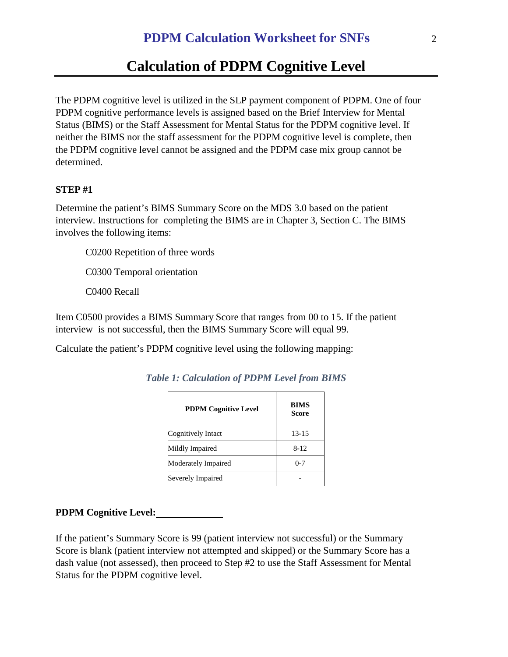# **Calculation of PDPM Cognitive Level**

The PDPM cognitive level is utilized in the SLP payment component of PDPM. One of four PDPM cognitive performance levels is assigned based on the Brief Interview for Mental Status (BIMS) or the Staff Assessment for Mental Status for the PDPM cognitive level. If neither the BIMS nor the staff assessment for the PDPM cognitive level is complete, then the PDPM cognitive level cannot be assigned and the PDPM case mix group cannot be determined.

### **STEP #1**

Determine the patient's BIMS Summary Score on the MDS 3.0 based on the patient interview. Instructions for completing the BIMS are in Chapter 3, Section C. The BIMS involves the following items:

C0200 Repetition of three words

C0300 Temporal orientation

C0400 Recall

Item C0500 provides a BIMS Summary Score that ranges from 00 to 15. If the patient interview is not successful, then the BIMS Summary Score will equal 99.

Calculate the patient's PDPM cognitive level using the following mapping:

| <b>PDPM Cognitive Level</b> | <b>BIMS</b><br>Score |
|-----------------------------|----------------------|
| Cognitively Intact          | $13 - 15$            |
| Mildly Impaired             | $8 - 12$             |
| Moderately Impaired         | $0 - 7$              |
| Severely Impaired           |                      |

*Table 1: Calculation of PDPM Level from BIMS* 

#### **PDPM Cognitive Level:**

If the patient's Summary Score is 99 (patient interview not successful) or the Summary Score is blank (patient interview not attempted and skipped) or the Summary Score has a dash value (not assessed), then proceed to Step #2 to use the Staff Assessment for Mental Status for the PDPM cognitive level.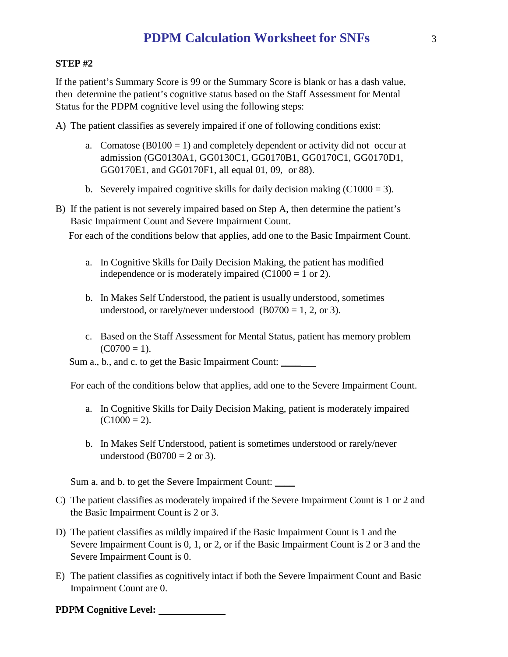#### **STEP #2**

If the patient's Summary Score is 99 or the Summary Score is blank or has a dash value, then determine the patient's cognitive status based on the Staff Assessment for Mental Status for the PDPM cognitive level using the following steps:

A) The patient classifies as severely impaired if one of following conditions exist:

- a. Comatose  $(B0100 = 1)$  and completely dependent or activity did not occur at admission (GG0130A1, GG0130C1, GG0170B1, GG0170C1, GG0170D1, GG0170E1, and GG0170F1, all equal 01, 09, or 88).
- b. Severely impaired cognitive skills for daily decision making  $(C1000 = 3)$ .
- B) If the patient is not severely impaired based on Step A, then determine the patient's Basic Impairment Count and Severe Impairment Count.

For each of the conditions below that applies, add one to the Basic Impairment Count.

- a. In Cognitive Skills for Daily Decision Making, the patient has modified independence or is moderately impaired  $(C1000 = 1$  or 2).
- b. In Makes Self Understood, the patient is usually understood, sometimes understood, or rarely/never understood  $(B0700 = 1, 2, or 3)$ .
- c. Based on the Staff Assessment for Mental Status, patient has memory problem  $(C0700 = 1)$ .

Sum a., b., and c. to get the Basic Impairment Count: \_\_\_\_\_

For each of the conditions below that applies, add one to the Severe Impairment Count.

- a. In Cognitive Skills for Daily Decision Making, patient is moderately impaired  $(C1000 = 2)$ .
- b. In Makes Self Understood, patient is sometimes understood or rarely/never understood (B0700 = 2 or 3).

Sum a. and b. to get the Severe Impairment Count: \_\_\_\_

- C) The patient classifies as moderately impaired if the Severe Impairment Count is 1 or 2 and the Basic Impairment Count is 2 or 3.
- D) The patient classifies as mildly impaired if the Basic Impairment Count is 1 and the Severe Impairment Count is 0, 1, or 2, or if the Basic Impairment Count is 2 or 3 and the Severe Impairment Count is 0.
- E) The patient classifies as cognitively intact if both the Severe Impairment Count and Basic Impairment Count are 0.

#### **PDPM Cognitive Level:**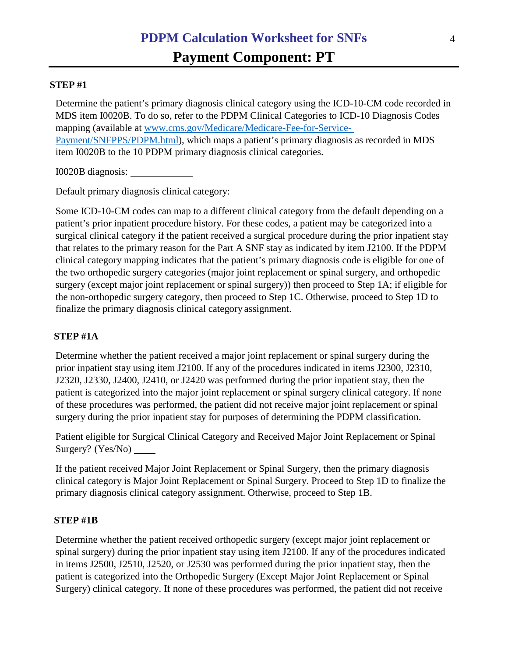## **STEP #1**

Determine the patient's primary diagnosis clinical category using the ICD-10-CM code recorded in MDS item I0020B. To do so, refer to the PDPM Clinical Categories to ICD-10 Diagnosis Codes mapping (available at [www.cms.gov/Medicare/Medicare-Fee-for-Service-](http://www.cms.gov/Medicare/Medicare-Fee-for-Service-Payment/SNFPPS/PDPM.html)[Payment/SNFPPS/PDPM.html\)](http://www.cms.gov/Medicare/Medicare-Fee-for-Service-Payment/SNFPPS/PDPM.html), which maps a patient's primary diagnosis as recorded in MDS item I0020B to the 10 PDPM primary diagnosis clinical categories.

I0020B diagnosis:

Default primary diagnosis clinical category:

Some ICD-10-CM codes can map to a different clinical category from the default depending on a patient's prior inpatient procedure history. For these codes, a patient may be categorized into a surgical clinical category if the patient received a surgical procedure during the prior inpatient stay that relates to the primary reason for the Part A SNF stay as indicated by item J2100. If the PDPM clinical category mapping indicates that the patient's primary diagnosis code is eligible for one of the two orthopedic surgery categories (major joint replacement or spinal surgery, and orthopedic surgery (except major joint replacement or spinal surgery)) then proceed to Step 1A; if eligible for the non-orthopedic surgery category, then proceed to Step 1C. Otherwise, proceed to Step 1D to finalize the primary diagnosis clinical category assignment.

## **STEP #1A**

Determine whether the patient received a major joint replacement or spinal surgery during the prior inpatient stay using item J2100. If any of the procedures indicated in items J2300, J2310, J2320, J2330, J2400, J2410, or J2420 was performed during the prior inpatient stay, then the patient is categorized into the major joint replacement or spinal surgery clinical category. If none of these procedures was performed, the patient did not receive major joint replacement or spinal surgery during the prior inpatient stay for purposes of determining the PDPM classification.

Patient eligible for Surgical Clinical Category and Received Major Joint Replacement or Spinal Surgery? (Yes/No)

If the patient received Major Joint Replacement or Spinal Surgery, then the primary diagnosis clinical category is Major Joint Replacement or Spinal Surgery. Proceed to Step 1D to finalize the primary diagnosis clinical category assignment. Otherwise, proceed to Step 1B.

## **STEP #1B**

Determine whether the patient received orthopedic surgery (except major joint replacement or spinal surgery) during the prior inpatient stay using item J2100. If any of the procedures indicated in items J2500, J2510, J2520, or J2530 was performed during the prior inpatient stay, then the patient is categorized into the Orthopedic Surgery (Except Major Joint Replacement or Spinal Surgery) clinical category. If none of these procedures was performed, the patient did not receive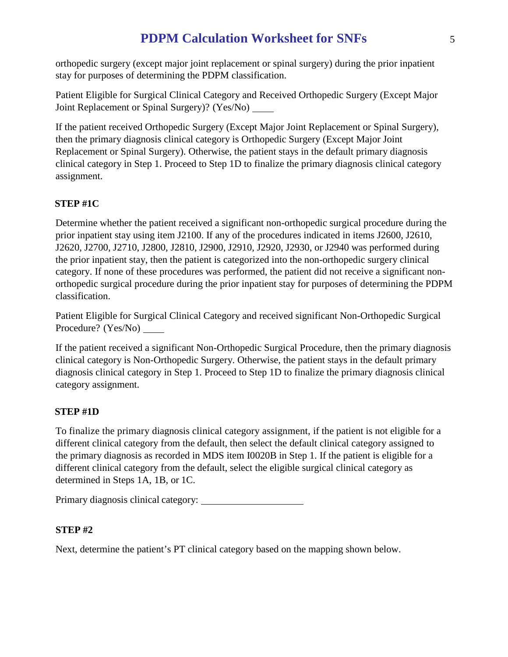orthopedic surgery (except major joint replacement or spinal surgery) during the prior inpatient stay for purposes of determining the PDPM classification.

Patient Eligible for Surgical Clinical Category and Received Orthopedic Surgery (Except Major Joint Replacement or Spinal Surgery)? (Yes/No)

If the patient received Orthopedic Surgery (Except Major Joint Replacement or Spinal Surgery), then the primary diagnosis clinical category is Orthopedic Surgery (Except Major Joint Replacement or Spinal Surgery). Otherwise, the patient stays in the default primary diagnosis clinical category in Step 1. Proceed to Step 1D to finalize the primary diagnosis clinical category assignment.

# **STEP #1C**

Determine whether the patient received a significant non-orthopedic surgical procedure during the prior inpatient stay using item J2100. If any of the procedures indicated in items J2600, J2610, J2620, J2700, J2710, J2800, J2810, J2900, J2910, J2920, J2930, or J2940 was performed during the prior inpatient stay, then the patient is categorized into the non-orthopedic surgery clinical category. If none of these procedures was performed, the patient did not receive a significant nonorthopedic surgical procedure during the prior inpatient stay for purposes of determining the PDPM classification.

Patient Eligible for Surgical Clinical Category and received significant Non-Orthopedic Surgical Procedure? (Yes/No)

If the patient received a significant Non-Orthopedic Surgical Procedure, then the primary diagnosis clinical category is Non-Orthopedic Surgery. Otherwise, the patient stays in the default primary diagnosis clinical category in Step 1. Proceed to Step 1D to finalize the primary diagnosis clinical category assignment.

## **STEP #1D**

To finalize the primary diagnosis clinical category assignment, if the patient is not eligible for a different clinical category from the default, then select the default clinical category assigned to the primary diagnosis as recorded in MDS item I0020B in Step 1. If the patient is eligible for a different clinical category from the default, select the eligible surgical clinical category as determined in Steps 1A, 1B, or 1C.

Primary diagnosis clinical category:

## **STEP #2**

Next, determine the patient's PT clinical category based on the mapping shown below.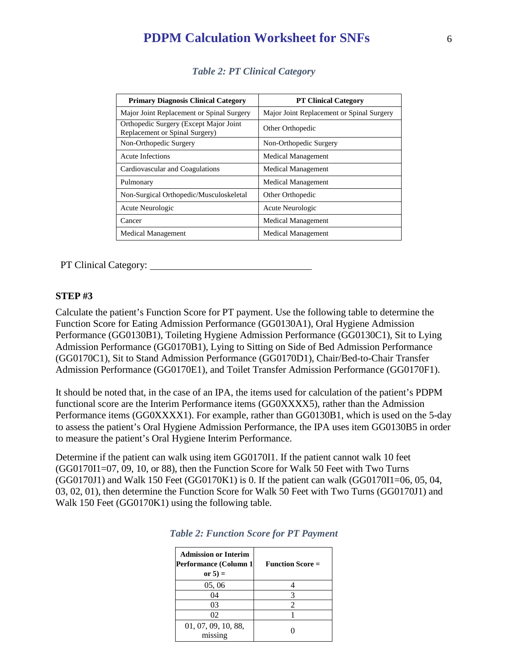| <b>Primary Diagnosis Clinical Category</b>                                | <b>PT Clinical Category</b>               |
|---------------------------------------------------------------------------|-------------------------------------------|
| Major Joint Replacement or Spinal Surgery                                 | Major Joint Replacement or Spinal Surgery |
| Orthopedic Surgery (Except Major Joint)<br>Replacement or Spinal Surgery) | Other Orthopedic                          |
| Non-Orthopedic Surgery                                                    | Non-Orthopedic Surgery                    |
| Acute Infections                                                          | <b>Medical Management</b>                 |
| Cardiovascular and Coagulations                                           | <b>Medical Management</b>                 |
| Pulmonary                                                                 | <b>Medical Management</b>                 |
| Non-Surgical Orthopedic/Musculoskeletal                                   | Other Orthopedic                          |
| Acute Neurologic                                                          | Acute Neurologic                          |
| Cancer                                                                    | <b>Medical Management</b>                 |
| <b>Medical Management</b>                                                 | <b>Medical Management</b>                 |

*Table 2: PT Clinical Category*

PT Clinical Category:

#### **STEP #3**

Calculate the patient's Function Score for PT payment. Use the following table to determine the Function Score for Eating Admission Performance (GG0130A1), Oral Hygiene Admission Performance (GG0130B1), Toileting Hygiene Admission Performance (GG0130C1), Sit to Lying Admission Performance (GG0170B1), Lying to Sitting on Side of Bed Admission Performance (GG0170C1), Sit to Stand Admission Performance (GG0170D1), Chair/Bed-to-Chair Transfer Admission Performance (GG0170E1), and Toilet Transfer Admission Performance (GG0170F1).

It should be noted that, in the case of an IPA, the items used for calculation of the patient's PDPM functional score are the Interim Performance items (GG0XXXX5), rather than the Admission Performance items (GG0XXXX1). For example, rather than GG0130B1, which is used on the 5-day to assess the patient's Oral Hygiene Admission Performance, the IPA uses item GG0130B5 in order to measure the patient's Oral Hygiene Interim Performance.

Determine if the patient can walk using item GG0170I1. If the patient cannot walk 10 feet (GG0170I1=07, 09, 10, or 88), then the Function Score for Walk 50 Feet with Two Turns (GG0170J1) and Walk 150 Feet (GG0170K1) is 0. If the patient can walk (GG0170I1=06, 05, 04, 03, 02, 01), then determine the Function Score for Walk 50 Feet with Two Turns (GG0170J1) and Walk 150 Feet (GG0170K1) using the following table.

| <b>Admission or Interim</b><br>Performance (Column 1)<br>or $5 =$ | <b>Function Score =</b> |
|-------------------------------------------------------------------|-------------------------|
| 05, 06                                                            |                         |
| 04                                                                | 3                       |
| 03                                                                | 2                       |
| 02                                                                |                         |
| 01, 07, 09, 10, 88,<br>missing                                    |                         |

|  | <b>Table 2: Function Score for PT Payment</b> |  |  |  |
|--|-----------------------------------------------|--|--|--|
|--|-----------------------------------------------|--|--|--|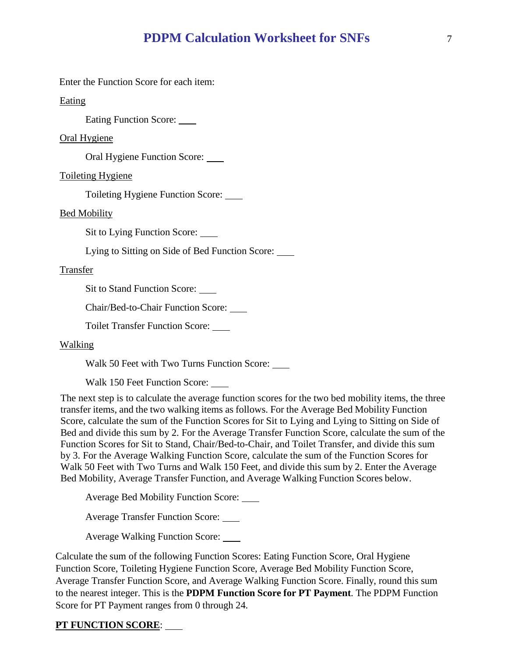Enter the Function Score for each item:

Eating

Eating Function Score:

Oral Hygiene

Oral Hygiene Function Score:

Toileting Hygiene

Toileting Hygiene Function Score:

Bed Mobility

Sit to Lying Function Score:

Lying to Sitting on Side of Bed Function Score:

#### Transfer

Sit to Stand Function Score:

Chair/Bed-to-Chair Function Score:

Toilet Transfer Function Score:

#### Walking

Walk 50 Feet with Two Turns Function Score:

Walk 150 Feet Function Score: \_\_\_\_

The next step is to calculate the average function scores for the two bed mobility items, the three transfer items, and the two walking items as follows. For the Average Bed Mobility Function Score, calculate the sum of the Function Scores for Sit to Lying and Lying to Sitting on Side of Bed and divide this sum by 2. For the Average Transfer Function Score, calculate the sum of the Function Scores for Sit to Stand, Chair/Bed-to-Chair, and Toilet Transfer, and divide this sum by 3. For the Average Walking Function Score, calculate the sum of the Function Scores for Walk 50 Feet with Two Turns and Walk 150 Feet, and divide this sum by 2. Enter the Average Bed Mobility, Average Transfer Function, and Average Walking Function Scores below.

Average Bed Mobility Function Score:

Average Transfer Function Score:

Average Walking Function Score:

Calculate the sum of the following Function Scores: Eating Function Score, Oral Hygiene Function Score, Toileting Hygiene Function Score, Average Bed Mobility Function Score, Average Transfer Function Score, and Average Walking Function Score. Finally, round this sum to the nearest integer. This is the **PDPM Function Score for PT Payment**. The PDPM Function Score for PT Payment ranges from 0 through 24.

#### **PT FUNCTION SCORE**: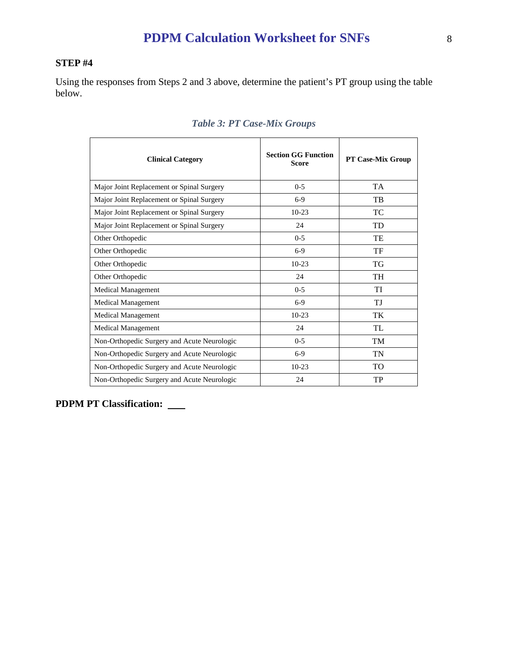# **STEP #4**

Using the responses from Steps 2 and 3 above, determine the patient's PT group using the table below.

| <b>Clinical Category</b>                    | <b>Section GG Function</b><br><b>Score</b> | <b>PT Case-Mix Group</b> |
|---------------------------------------------|--------------------------------------------|--------------------------|
| Major Joint Replacement or Spinal Surgery   | $0 - 5$                                    | <b>TA</b>                |
| Major Joint Replacement or Spinal Surgery   | $6-9$                                      | <b>TB</b>                |
| Major Joint Replacement or Spinal Surgery   | $10-23$                                    | TC                       |
| Major Joint Replacement or Spinal Surgery   | 24                                         | TD                       |
| Other Orthopedic                            | $0-5$                                      | TE                       |
| Other Orthopedic                            | $6-9$                                      | TF                       |
| Other Orthopedic                            | $10-23$                                    | <b>TG</b>                |
| Other Orthopedic                            | 24                                         | <b>TH</b>                |
| <b>Medical Management</b>                   | $0 - 5$                                    | TI                       |
| Medical Management                          | $6-9$                                      | TJ                       |
| <b>Medical Management</b>                   | $10-23$                                    | TK                       |
| <b>Medical Management</b>                   | 24                                         | TL                       |
| Non-Orthopedic Surgery and Acute Neurologic | $0-5$                                      | <b>TM</b>                |
| Non-Orthopedic Surgery and Acute Neurologic | $6-9$                                      | <b>TN</b>                |
| Non-Orthopedic Surgery and Acute Neurologic | $10-23$                                    | T <sub>O</sub>           |
| Non-Orthopedic Surgery and Acute Neurologic | 24                                         | TP                       |

# *Table 3: PT Case-Mix Groups*

**PDPM PT Classification:**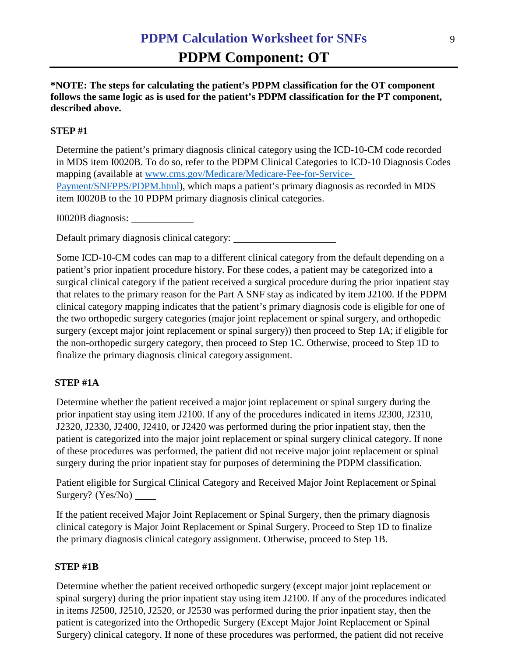**\*NOTE: The steps for calculating the patient's PDPM classification for the OT component follows the same logic as is used for the patient's PDPM classification for the PT component, described above.**

## **STEP #1**

Determine the patient's primary diagnosis clinical category using the ICD-10-CM code recorded in MDS item I0020B. To do so, refer to the PDPM Clinical Categories to ICD-10 Diagnosis Codes mapping (available at [www.cms.gov/Medicare/Medicare-Fee-for-Service-](http://www.cms.gov/Medicare/Medicare-Fee-for-Service-Payment/SNFPPS/PDPM.html)[Payment/SNFPPS/PDPM.html\)](http://www.cms.gov/Medicare/Medicare-Fee-for-Service-Payment/SNFPPS/PDPM.html), which maps a patient's primary diagnosis as recorded in MDS item I0020B to the 10 PDPM primary diagnosis clinical categories.

I0020B diagnosis:

Default primary diagnosis clinical category:

Some ICD-10-CM codes can map to a different clinical category from the default depending on a patient's prior inpatient procedure history. For these codes, a patient may be categorized into a surgical clinical category if the patient received a surgical procedure during the prior inpatient stay that relates to the primary reason for the Part A SNF stay as indicated by item J2100. If the PDPM clinical category mapping indicates that the patient's primary diagnosis code is eligible for one of the two orthopedic surgery categories (major joint replacement or spinal surgery, and orthopedic surgery (except major joint replacement or spinal surgery)) then proceed to Step 1A; if eligible for the non-orthopedic surgery category, then proceed to Step 1C. Otherwise, proceed to Step 1D to finalize the primary diagnosis clinical category assignment.

## **STEP #1A**

Determine whether the patient received a major joint replacement or spinal surgery during the prior inpatient stay using item J2100. If any of the procedures indicated in items J2300, J2310, J2320, J2330, J2400, J2410, or J2420 was performed during the prior inpatient stay, then the patient is categorized into the major joint replacement or spinal surgery clinical category. If none of these procedures was performed, the patient did not receive major joint replacement or spinal surgery during the prior inpatient stay for purposes of determining the PDPM classification.

Patient eligible for Surgical Clinical Category and Received Major Joint Replacement or Spinal Surgery? (Yes/No)

If the patient received Major Joint Replacement or Spinal Surgery, then the primary diagnosis clinical category is Major Joint Replacement or Spinal Surgery. Proceed to Step 1D to finalize the primary diagnosis clinical category assignment. Otherwise, proceed to Step 1B.

## **STEP #1B**

Determine whether the patient received orthopedic surgery (except major joint replacement or spinal surgery) during the prior inpatient stay using item J2100. If any of the procedures indicated in items J2500, J2510, J2520, or J2530 was performed during the prior inpatient stay, then the patient is categorized into the Orthopedic Surgery (Except Major Joint Replacement or Spinal Surgery) clinical category. If none of these procedures was performed, the patient did not receive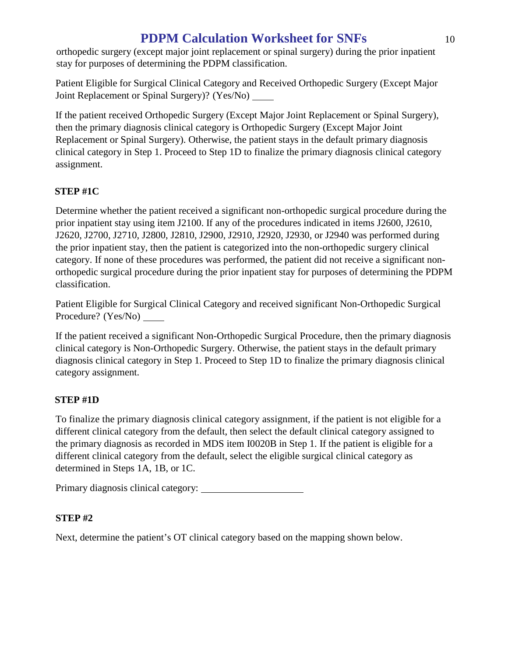orthopedic surgery (except major joint replacement or spinal surgery) during the prior inpatient stay for purposes of determining the PDPM classification.

Patient Eligible for Surgical Clinical Category and Received Orthopedic Surgery (Except Major Joint Replacement or Spinal Surgery)? (Yes/No)

If the patient received Orthopedic Surgery (Except Major Joint Replacement or Spinal Surgery), then the primary diagnosis clinical category is Orthopedic Surgery (Except Major Joint Replacement or Spinal Surgery). Otherwise, the patient stays in the default primary diagnosis clinical category in Step 1. Proceed to Step 1D to finalize the primary diagnosis clinical category assignment.

# **STEP #1C**

Determine whether the patient received a significant non-orthopedic surgical procedure during the prior inpatient stay using item J2100. If any of the procedures indicated in items J2600, J2610, J2620, J2700, J2710, J2800, J2810, J2900, J2910, J2920, J2930, or J2940 was performed during the prior inpatient stay, then the patient is categorized into the non-orthopedic surgery clinical category. If none of these procedures was performed, the patient did not receive a significant nonorthopedic surgical procedure during the prior inpatient stay for purposes of determining the PDPM classification.

Patient Eligible for Surgical Clinical Category and received significant Non-Orthopedic Surgical Procedure? (Yes/No)

If the patient received a significant Non-Orthopedic Surgical Procedure, then the primary diagnosis clinical category is Non-Orthopedic Surgery. Otherwise, the patient stays in the default primary diagnosis clinical category in Step 1. Proceed to Step 1D to finalize the primary diagnosis clinical category assignment.

# **STEP #1D**

To finalize the primary diagnosis clinical category assignment, if the patient is not eligible for a different clinical category from the default, then select the default clinical category assigned to the primary diagnosis as recorded in MDS item I0020B in Step 1. If the patient is eligible for a different clinical category from the default, select the eligible surgical clinical category as determined in Steps 1A, 1B, or 1C.

Primary diagnosis clinical category:

# **STEP #2**

Next, determine the patient's OT clinical category based on the mapping shown below.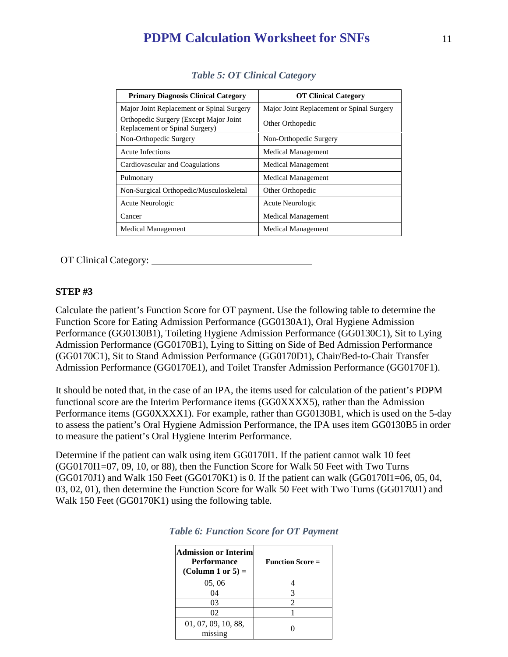| <b>Primary Diagnosis Clinical Category</b>                                | <b>OT Clinical Category</b>               |
|---------------------------------------------------------------------------|-------------------------------------------|
| Major Joint Replacement or Spinal Surgery                                 | Major Joint Replacement or Spinal Surgery |
| Orthopedic Surgery (Except Major Joint)<br>Replacement or Spinal Surgery) | Other Orthopedic                          |
| Non-Orthopedic Surgery                                                    | Non-Orthopedic Surgery                    |
| Acute Infections                                                          | <b>Medical Management</b>                 |
| Cardiovascular and Coagulations                                           | <b>Medical Management</b>                 |
| Pulmonary                                                                 | <b>Medical Management</b>                 |
| Non-Surgical Orthopedic/Musculoskeletal                                   | Other Orthopedic                          |
| Acute Neurologic                                                          | Acute Neurologic                          |
| Cancer                                                                    | <b>Medical Management</b>                 |
| <b>Medical Management</b>                                                 | <b>Medical Management</b>                 |

OT Clinical Category:

## **STEP #3**

Calculate the patient's Function Score for OT payment. Use the following table to determine the Function Score for Eating Admission Performance (GG0130A1), Oral Hygiene Admission Performance (GG0130B1), Toileting Hygiene Admission Performance (GG0130C1), Sit to Lying Admission Performance (GG0170B1), Lying to Sitting on Side of Bed Admission Performance (GG0170C1), Sit to Stand Admission Performance (GG0170D1), Chair/Bed-to-Chair Transfer Admission Performance (GG0170E1), and Toilet Transfer Admission Performance (GG0170F1).

It should be noted that, in the case of an IPA, the items used for calculation of the patient's PDPM functional score are the Interim Performance items (GG0XXXX5), rather than the Admission Performance items (GG0XXXX1). For example, rather than GG0130B1, which is used on the 5-day to assess the patient's Oral Hygiene Admission Performance, the IPA uses item GG0130B5 in order to measure the patient's Oral Hygiene Interim Performance.

Determine if the patient can walk using item GG0170I1. If the patient cannot walk 10 feet (GG0170I1=07, 09, 10, or 88), then the Function Score for Walk 50 Feet with Two Turns (GG0170J1) and Walk 150 Feet (GG0170K1) is 0. If the patient can walk (GG0170I1=06, 05, 04, 03, 02, 01), then determine the Function Score for Walk 50 Feet with Two Turns (GG0170J1) and Walk 150 Feet (GG0170K1) using the following table.

| <b>Admission or Interiml</b><br><b>Performance</b><br>(Column 1 or 5) $=$ | <b>Function Score =</b> |
|---------------------------------------------------------------------------|-------------------------|
| 05, 06                                                                    |                         |
| 04                                                                        | 3                       |
| 03                                                                        | 2                       |
| 02                                                                        |                         |
| 01, 07, 09, 10, 88,<br>missing                                            |                         |

|  | <b>Table 6: Function Score for OT Payment</b> |  |  |  |
|--|-----------------------------------------------|--|--|--|
|--|-----------------------------------------------|--|--|--|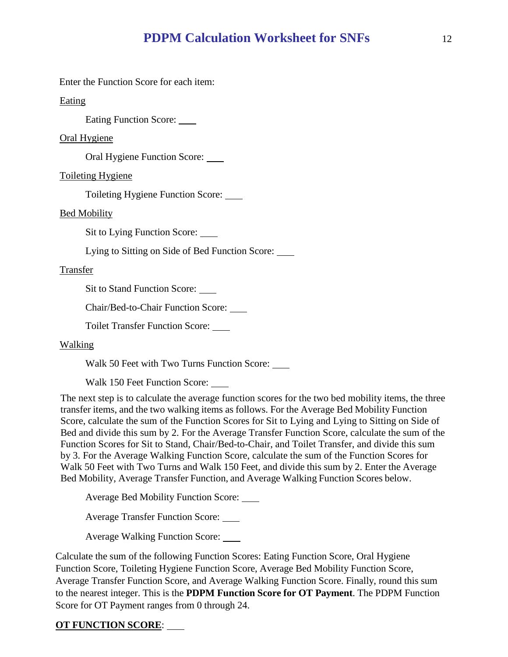Enter the Function Score for each item:

Eating

Eating Function Score:

Oral Hygiene

Oral Hygiene Function Score:

Toileting Hygiene

Toileting Hygiene Function Score:

Bed Mobility

Sit to Lying Function Score:

Lying to Sitting on Side of Bed Function Score:

#### Transfer

Sit to Stand Function Score:

Chair/Bed-to-Chair Function Score:

Toilet Transfer Function Score:

#### Walking

Walk 50 Feet with Two Turns Function Score:

Walk 150 Feet Function Score: \_\_\_\_

The next step is to calculate the average function scores for the two bed mobility items, the three transfer items, and the two walking items as follows. For the Average Bed Mobility Function Score, calculate the sum of the Function Scores for Sit to Lying and Lying to Sitting on Side of Bed and divide this sum by 2. For the Average Transfer Function Score, calculate the sum of the Function Scores for Sit to Stand, Chair/Bed-to-Chair, and Toilet Transfer, and divide this sum by 3. For the Average Walking Function Score, calculate the sum of the Function Scores for Walk 50 Feet with Two Turns and Walk 150 Feet, and divide this sum by 2. Enter the Average Bed Mobility, Average Transfer Function, and Average Walking Function Scores below.

Average Bed Mobility Function Score:

Average Transfer Function Score:

Average Walking Function Score:

Calculate the sum of the following Function Scores: Eating Function Score, Oral Hygiene Function Score, Toileting Hygiene Function Score, Average Bed Mobility Function Score, Average Transfer Function Score, and Average Walking Function Score. Finally, round this sum to the nearest integer. This is the **PDPM Function Score for OT Payment**. The PDPM Function Score for OT Payment ranges from 0 through 24.

#### **OT FUNCTION SCORE**: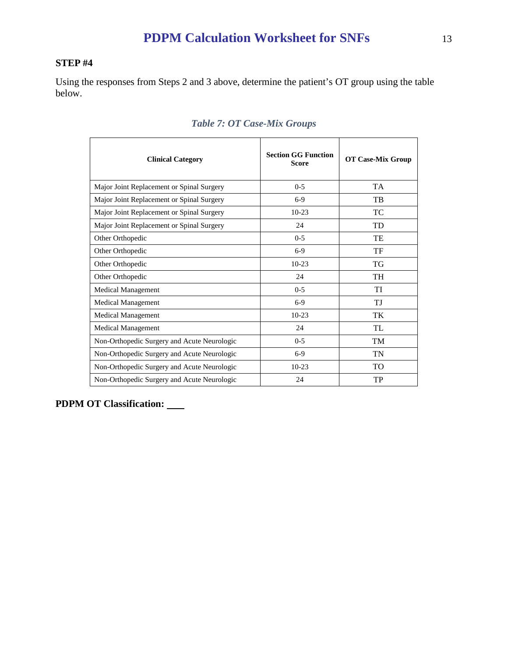# **STEP #4**

Using the responses from Steps 2 and 3 above, determine the patient's OT group using the table below.

| <b>Clinical Category</b>                    | <b>Section GG Function</b><br><b>Score</b> | <b>OT Case-Mix Group</b> |
|---------------------------------------------|--------------------------------------------|--------------------------|
| Major Joint Replacement or Spinal Surgery   | $0 - 5$                                    | <b>TA</b>                |
| Major Joint Replacement or Spinal Surgery   | $6-9$                                      | TB                       |
| Major Joint Replacement or Spinal Surgery   | $10-23$                                    | <b>TC</b>                |
| Major Joint Replacement or Spinal Surgery   | 24                                         | <b>TD</b>                |
| Other Orthopedic                            | $0-5$                                      | TE                       |
| Other Orthopedic                            | $6-9$                                      | TF                       |
| Other Orthopedic                            | $10-23$                                    | TG                       |
| Other Orthopedic                            | 24                                         | <b>TH</b>                |
| Medical Management                          | $0 - 5$                                    | TI                       |
| Medical Management                          | $6-9$                                      | TJ                       |
| <b>Medical Management</b>                   | $10-23$                                    | TK                       |
| <b>Medical Management</b>                   | 24                                         | TI.                      |
| Non-Orthopedic Surgery and Acute Neurologic | $0 - 5$                                    | <b>TM</b>                |
| Non-Orthopedic Surgery and Acute Neurologic | $6-9$                                      | TN                       |
| Non-Orthopedic Surgery and Acute Neurologic | $10-23$                                    | <b>TO</b>                |
| Non-Orthopedic Surgery and Acute Neurologic | 24                                         | TP                       |

# *Table 7: OT Case-Mix Groups*

**PDPM OT Classification:**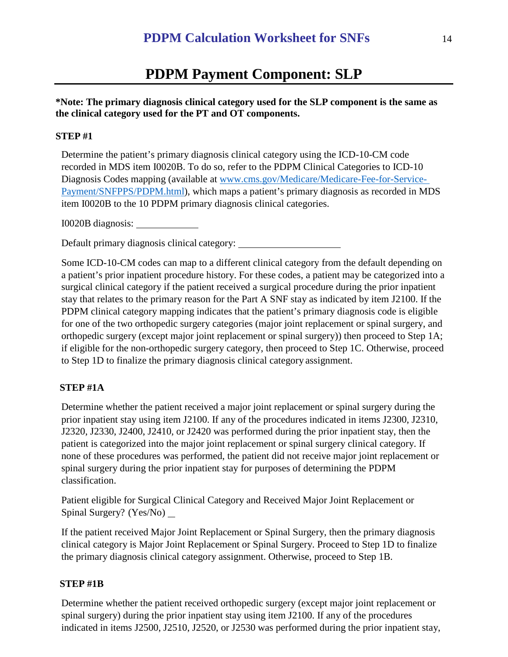# **PDPM Payment Component: SLP**

### **\*Note: The primary diagnosis clinical category used for the SLP component is the same as the clinical category used for the PT and OT components.**

#### **STEP #1**

Determine the patient's primary diagnosis clinical category using the ICD-10-CM code recorded in MDS item I0020B. To do so, refer to the PDPM Clinical Categories to ICD-10 Diagnosis Codes mapping (available at [www.cms.gov/Medicare/Medicare-Fee-for-Service-](http://www.cms.gov/Medicare/Medicare-Fee-for-Service-Payment/SNFPPS/PDPM.html)[Payment/SNFPPS/PDPM.html\)](http://www.cms.gov/Medicare/Medicare-Fee-for-Service-Payment/SNFPPS/PDPM.html), which maps a patient's primary diagnosis as recorded in MDS item I0020B to the 10 PDPM primary diagnosis clinical categories.

I0020B diagnosis:

Default primary diagnosis clinical category:

Some ICD-10-CM codes can map to a different clinical category from the default depending on a patient's prior inpatient procedure history. For these codes, a patient may be categorized into a surgical clinical category if the patient received a surgical procedure during the prior inpatient stay that relates to the primary reason for the Part A SNF stay as indicated by item J2100. If the PDPM clinical category mapping indicates that the patient's primary diagnosis code is eligible for one of the two orthopedic surgery categories (major joint replacement or spinal surgery, and orthopedic surgery (except major joint replacement or spinal surgery)) then proceed to Step 1A; if eligible for the non-orthopedic surgery category, then proceed to Step 1C. Otherwise, proceed to Step 1D to finalize the primary diagnosis clinical category assignment.

#### **STEP #1A**

Determine whether the patient received a major joint replacement or spinal surgery during the prior inpatient stay using item J2100. If any of the procedures indicated in items J2300, J2310, J2320, J2330, J2400, J2410, or J2420 was performed during the prior inpatient stay, then the patient is categorized into the major joint replacement or spinal surgery clinical category. If none of these procedures was performed, the patient did not receive major joint replacement or spinal surgery during the prior inpatient stay for purposes of determining the PDPM classification.

Patient eligible for Surgical Clinical Category and Received Major Joint Replacement or Spinal Surgery? (Yes/No) \_

If the patient received Major Joint Replacement or Spinal Surgery, then the primary diagnosis clinical category is Major Joint Replacement or Spinal Surgery. Proceed to Step 1D to finalize the primary diagnosis clinical category assignment. Otherwise, proceed to Step 1B.

#### **STEP #1B**

Determine whether the patient received orthopedic surgery (except major joint replacement or spinal surgery) during the prior inpatient stay using item J2100. If any of the procedures indicated in items J2500, J2510, J2520, or J2530 was performed during the prior inpatient stay,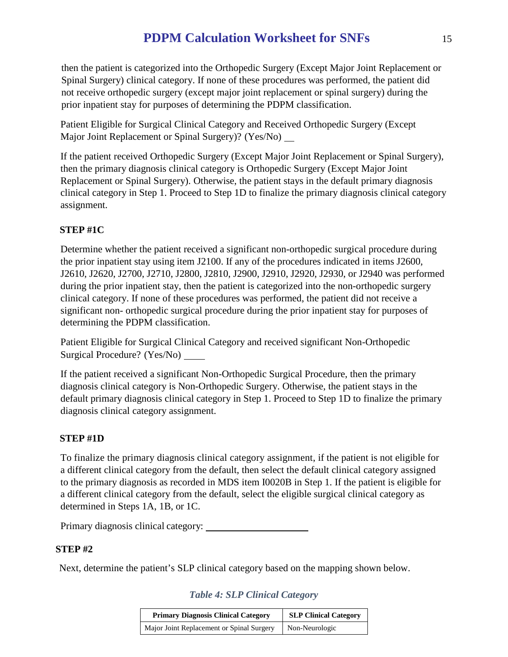then the patient is categorized into the Orthopedic Surgery (Except Major Joint Replacement or Spinal Surgery) clinical category. If none of these procedures was performed, the patient did not receive orthopedic surgery (except major joint replacement or spinal surgery) during the prior inpatient stay for purposes of determining the PDPM classification.

Patient Eligible for Surgical Clinical Category and Received Orthopedic Surgery (Except Major Joint Replacement or Spinal Surgery)? (Yes/No)

If the patient received Orthopedic Surgery (Except Major Joint Replacement or Spinal Surgery), then the primary diagnosis clinical category is Orthopedic Surgery (Except Major Joint Replacement or Spinal Surgery). Otherwise, the patient stays in the default primary diagnosis clinical category in Step 1. Proceed to Step 1D to finalize the primary diagnosis clinical category assignment.

# **STEP #1C**

Determine whether the patient received a significant non-orthopedic surgical procedure during the prior inpatient stay using item J2100. If any of the procedures indicated in items J2600, J2610, J2620, J2700, J2710, J2800, J2810, J2900, J2910, J2920, J2930, or J2940 was performed during the prior inpatient stay, then the patient is categorized into the non-orthopedic surgery clinical category. If none of these procedures was performed, the patient did not receive a significant non- orthopedic surgical procedure during the prior inpatient stay for purposes of determining the PDPM classification.

Patient Eligible for Surgical Clinical Category and received significant Non-Orthopedic Surgical Procedure? (Yes/No)

If the patient received a significant Non-Orthopedic Surgical Procedure, then the primary diagnosis clinical category is Non-Orthopedic Surgery. Otherwise, the patient stays in the default primary diagnosis clinical category in Step 1. Proceed to Step 1D to finalize the primary diagnosis clinical category assignment.

## **STEP #1D**

To finalize the primary diagnosis clinical category assignment, if the patient is not eligible for a different clinical category from the default, then select the default clinical category assigned to the primary diagnosis as recorded in MDS item I0020B in Step 1. If the patient is eligible for a different clinical category from the default, select the eligible surgical clinical category as determined in Steps 1A, 1B, or 1C.

Primary diagnosis clinical category:

## **STEP #2**

Next, determine the patient's SLP clinical category based on the mapping shown below.

*Table 4: SLP Clinical Category*

| <b>Primary Diagnosis Clinical Category</b> | <b>SLP Clinical Category</b> |  |
|--------------------------------------------|------------------------------|--|
| Major Joint Replacement or Spinal Surgery  | Non-Neurologic               |  |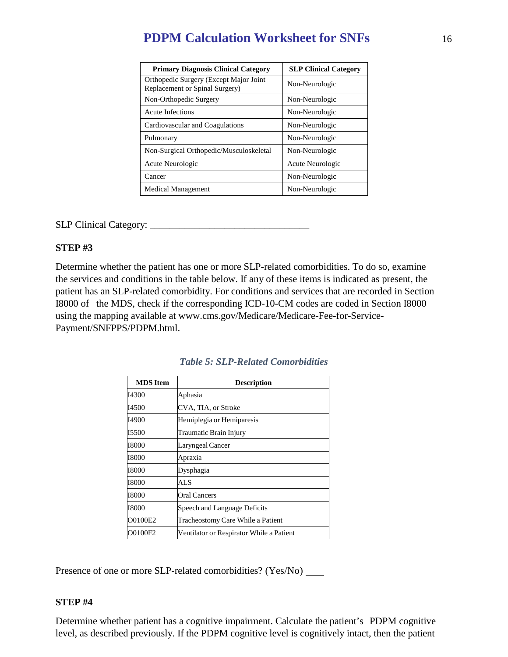| <b>Primary Diagnosis Clinical Category</b>                                | <b>SLP Clinical Category</b> |
|---------------------------------------------------------------------------|------------------------------|
| Orthopedic Surgery (Except Major Joint)<br>Replacement or Spinal Surgery) | Non-Neurologic               |
| Non-Orthopedic Surgery                                                    | Non-Neurologic               |
| Acute Infections                                                          | Non-Neurologic               |
| Cardiovascular and Coagulations                                           | Non-Neurologic               |
| Pulmonary                                                                 | Non-Neurologic               |
| Non-Surgical Orthopedic/Musculoskeletal                                   | Non-Neurologic               |
| Acute Neurologic                                                          | Acute Neurologic             |
| Cancer                                                                    | Non-Neurologic               |
| <b>Medical Management</b>                                                 | Non-Neurologic               |

SLP Clinical Category: \_\_\_\_\_\_\_\_\_\_\_\_\_\_\_\_\_\_\_\_\_\_\_\_\_\_\_\_\_\_\_\_

#### **STEP #3**

Determine whether the patient has one or more SLP-related comorbidities. To do so, examine the services and conditions in the table below. If any of these items is indicated as present, the patient has an SLP-related comorbidity. For conditions and services that are recorded in Section I8000 of the MDS, check if the corresponding ICD-10-CM codes are coded in Section I8000 using the mapping available at www.cms.gov/Medicare/Medicare-Fee-for-Service-Payment/SNFPPS/PDPM.html.

| <b>MDS</b> Item | <b>Description</b>                       |
|-----------------|------------------------------------------|
| <b>I4300</b>    | Aphasia                                  |
| I4500           | CVA, TIA, or Stroke                      |
| I4900           | Hemiplegia or Hemiparesis                |
| 15500           | Traumatic Brain Injury                   |
| 18000           | Laryngeal Cancer                         |
| 18000           | Apraxia                                  |
| 18000           | Dysphagia                                |
| 18000           | AL S                                     |
| 18000           | Oral Cancers                             |
| 18000           | Speech and Language Deficits             |
| O0100E2         | Tracheostomy Care While a Patient        |
| O0100F2         | Ventilator or Respirator While a Patient |

### *Table 5: SLP-Related Comorbidities*

Presence of one or more SLP-related comorbidities? (Yes/No)

#### **STEP #4**

Determine whether patient has a cognitive impairment. Calculate the patient's PDPM cognitive level, as described previously. If the PDPM cognitive level is cognitively intact, then the patient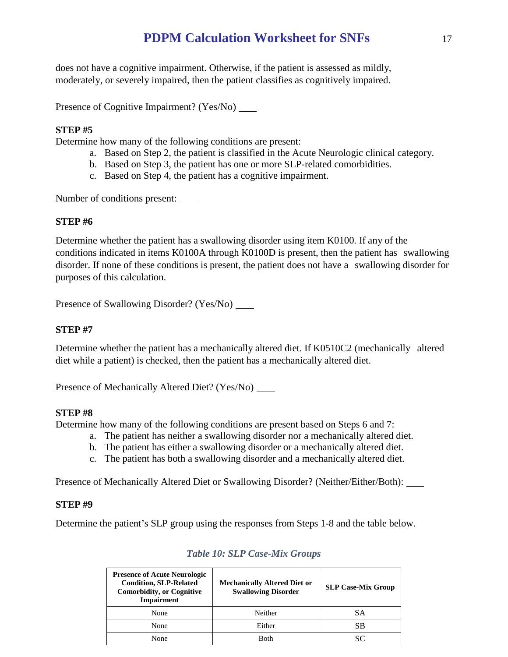does not have a cognitive impairment. Otherwise, if the patient is assessed as mildly, moderately, or severely impaired, then the patient classifies as cognitively impaired.

Presence of Cognitive Impairment? (Yes/No)

### **STEP #5**

Determine how many of the following conditions are present:

- a. Based on Step 2, the patient is classified in the Acute Neurologic clinical category.
- b. Based on Step 3, the patient has one or more SLP-related comorbidities.
- c. Based on Step 4, the patient has a cognitive impairment.

Number of conditions present:

### **STEP #6**

Determine whether the patient has a swallowing disorder using item K0100. If any of the conditions indicated in items K0100A through K0100D is present, then the patient has swallowing disorder. If none of these conditions is present, the patient does not have a swallowing disorder for purposes of this calculation.

Presence of Swallowing Disorder? (Yes/No) \_\_\_\_\_\_

### **STEP #7**

Determine whether the patient has a mechanically altered diet. If K0510C2 (mechanically altered diet while a patient) is checked, then the patient has a mechanically altered diet.

Presence of Mechanically Altered Diet? (Yes/No) \_\_\_\_\_

#### **STEP #8**

Determine how many of the following conditions are present based on Steps 6 and 7:

- a. The patient has neither a swallowing disorder nor a mechanically altered diet.
- b. The patient has either a swallowing disorder or a mechanically altered diet.
- c. The patient has both a swallowing disorder and a mechanically altered diet.

Presence of Mechanically Altered Diet or Swallowing Disorder? (Neither/Either/Both):

#### **STEP #9**

Determine the patient's SLP group using the responses from Steps 1-8 and the table below.

| <b>Presence of Acute Neurologic</b><br><b>Condition, SLP-Related</b><br><b>Comorbidity, or Cognitive</b><br><b>Impairment</b> | <b>Mechanically Altered Diet or</b><br><b>Swallowing Disorder</b> | <b>SLP Case-Mix Group</b> |
|-------------------------------------------------------------------------------------------------------------------------------|-------------------------------------------------------------------|---------------------------|
| None                                                                                                                          | Neither                                                           | SА                        |
| None                                                                                                                          | Either                                                            | SB                        |
| None                                                                                                                          | <b>R</b> oth                                                      |                           |

## *Table 10: SLP Case-Mix Groups*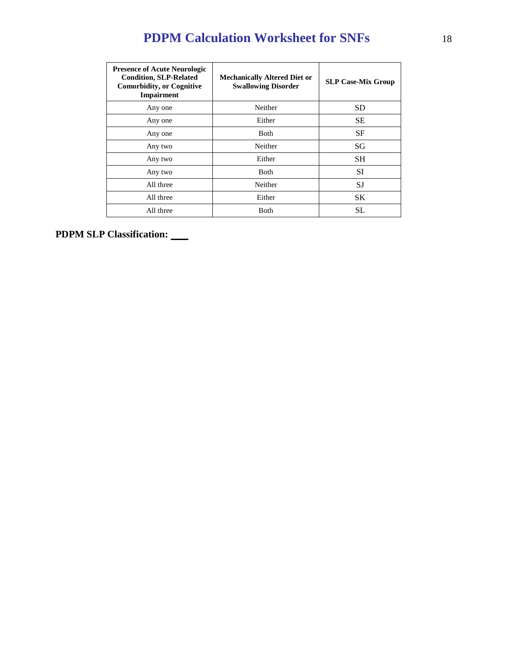| <b>Presence of Acute Neurologic</b><br><b>Condition, SLP-Related</b><br><b>Comorbidity, or Cognitive</b><br><b>Impairment</b> | <b>Mechanically Altered Diet or</b><br><b>Swallowing Disorder</b> | <b>SLP Case-Mix Group</b> |
|-------------------------------------------------------------------------------------------------------------------------------|-------------------------------------------------------------------|---------------------------|
| Any one                                                                                                                       | Neither                                                           | <b>SD</b>                 |
| Any one                                                                                                                       | Either                                                            | <b>SE</b>                 |
| Any one                                                                                                                       | <b>Both</b>                                                       | <b>SF</b>                 |
| Any two                                                                                                                       | Neither                                                           | SG                        |
| Any two                                                                                                                       | Either                                                            | <b>SH</b>                 |
| Any two                                                                                                                       | <b>Both</b>                                                       | SI                        |
| All three                                                                                                                     | Neither                                                           | SJ                        |
| All three                                                                                                                     | Either                                                            | <b>SK</b>                 |
| All three                                                                                                                     | Both                                                              | SL.                       |

**PDPM SLP Classification:**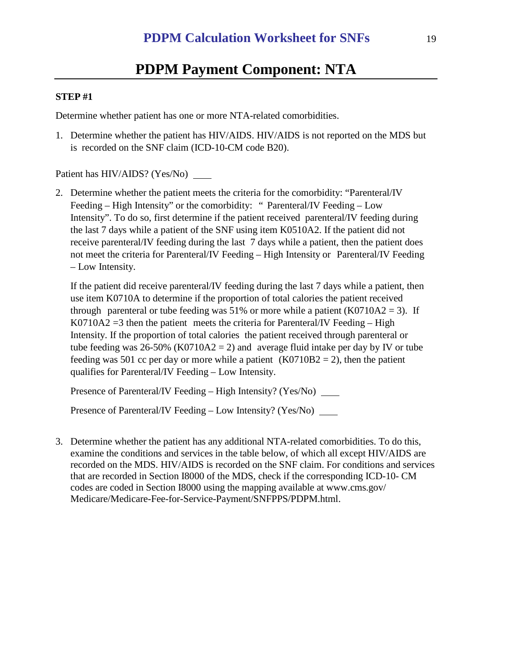# **PDPM Payment Component: NTA**

#### **STEP #1**

Determine whether patient has one or more NTA-related comorbidities.

1. Determine whether the patient has HIV/AIDS. HIV/AIDS is not reported on the MDS but is recorded on the SNF claim (ICD-10-CM code B20).

Patient has HIV/AIDS? (Yes/No)

2. Determine whether the patient meets the criteria for the comorbidity: "Parenteral/IV Feeding – High Intensity" or the comorbidity: " Parenteral/IV Feeding – Low Intensity". To do so, first determine if the patient received parenteral/IV feeding during the last 7 days while a patient of the SNF using item K0510A2. If the patient did not receive parenteral/IV feeding during the last 7 days while a patient, then the patient does not meet the criteria for Parenteral/IV Feeding – High Intensity or Parenteral/IV Feeding – Low Intensity.

If the patient did receive parenteral/IV feeding during the last 7 days while a patient, then use item K0710A to determine if the proportion of total calories the patient received through parenteral or tube feeding was 51% or more while a patient  $(K0710A2 = 3)$ . If  $K0710A2 = 3$  then the patient meets the criteria for Parenteral/IV Feeding – High Intensity. If the proportion of total calories the patient received through parenteral or tube feeding was  $26-50\%$  (K0710A2 = 2) and average fluid intake per day by IV or tube feeding was 501 cc per day or more while a patient  $(K0710B2 = 2)$ , then the patient qualifies for Parenteral/IV Feeding – Low Intensity.

Presence of Parenteral/IV Feeding – High Intensity? (Yes/No) \_\_\_\_\_\_

Presence of Parenteral/IV Feeding – Low Intensity? (Yes/No) \_\_\_\_\_

3. Determine whether the patient has any additional NTA-related comorbidities. To do this, examine the conditions and services in the table below, of which all except HIV/AIDS are recorded on the MDS. HIV/AIDS is recorded on the SNF claim. For conditions and services that are recorded in Section I8000 of the MDS, check if the corresponding ICD-10- CM codes are coded in Section I8000 using the mapping available at www.cms.gov/ Medicare/Medicare-Fee-for-Service-Payment/SNFPPS/PDPM.html.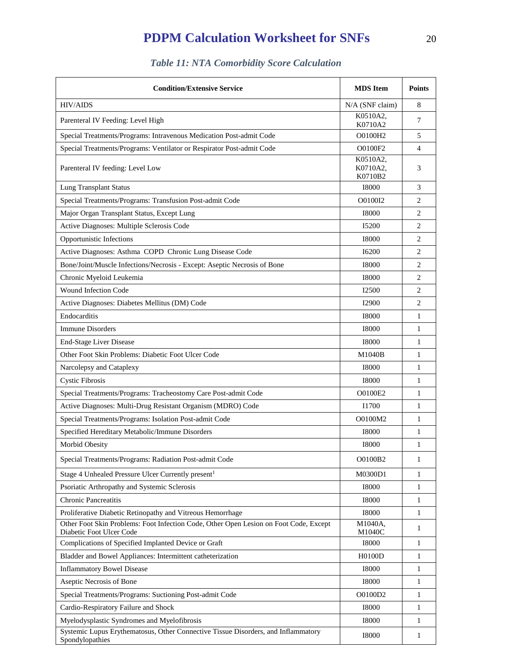| <b>Condition/Extensive Service</b>                                                                                | <b>MDS</b> Item                 | <b>Points</b>  |
|-------------------------------------------------------------------------------------------------------------------|---------------------------------|----------------|
| <b>HIV/AIDS</b>                                                                                                   | N/A (SNF claim)                 | 8              |
| Parenteral IV Feeding: Level High                                                                                 | K0510A2,<br>K0710A2             | 7              |
| Special Treatments/Programs: Intravenous Medication Post-admit Code                                               | O0100H2                         | 5              |
| Special Treatments/Programs: Ventilator or Respirator Post-admit Code                                             | O0100F2                         | 4              |
| Parenteral IV feeding: Level Low                                                                                  | K0510A2,<br>K0710A2.<br>K0710B2 | 3              |
| <b>Lung Transplant Status</b>                                                                                     | <b>I8000</b>                    | 3              |
| Special Treatments/Programs: Transfusion Post-admit Code                                                          | O0100I2                         | $\overline{c}$ |
| Major Organ Transplant Status, Except Lung                                                                        | <b>I8000</b>                    | 2              |
| Active Diagnoses: Multiple Sclerosis Code                                                                         | I5200                           | $\overline{2}$ |
| Opportunistic Infections                                                                                          | 18000                           | $\overline{2}$ |
| Active Diagnoses: Asthma COPD Chronic Lung Disease Code                                                           | <b>I6200</b>                    | $\overline{c}$ |
| Bone/Joint/Muscle Infections/Necrosis - Except: Aseptic Necrosis of Bone                                          | 18000                           | $\overline{c}$ |
| Chronic Myeloid Leukemia                                                                                          | 18000                           | $\overline{2}$ |
| Wound Infection Code                                                                                              | I2500                           | 2              |
| Active Diagnoses: Diabetes Mellitus (DM) Code                                                                     | <b>I2900</b>                    | $\overline{c}$ |
| Endocarditis                                                                                                      | 18000                           | 1              |
| <b>Immune Disorders</b>                                                                                           | <b>I8000</b>                    | 1              |
| End-Stage Liver Disease                                                                                           | 18000                           | 1              |
| Other Foot Skin Problems: Diabetic Foot Ulcer Code                                                                | M1040B                          | 1              |
| Narcolepsy and Cataplexy                                                                                          | <b>I8000</b>                    | 1              |
| <b>Cystic Fibrosis</b>                                                                                            | <b>I8000</b>                    | 1              |
| Special Treatments/Programs: Tracheostomy Care Post-admit Code                                                    | O0100E2                         | 1              |
| Active Diagnoses: Multi-Drug Resistant Organism (MDRO) Code                                                       | I1700                           | 1              |
| Special Treatments/Programs: Isolation Post-admit Code                                                            | O0100M2                         | 1              |
| Specified Hereditary Metabolic/Immune Disorders                                                                   | 18000                           | 1              |
| Morbid Obesity                                                                                                    | <b>I8000</b>                    |                |
| Special Treatments/Programs: Radiation Post-admit Code                                                            | O0100B2                         | 1              |
| Stage 4 Unhealed Pressure Ulcer Currently present <sup>1</sup>                                                    | M0300D1                         | 1              |
| Psoriatic Arthropathy and Systemic Sclerosis                                                                      | <b>I8000</b>                    | $\mathbf{1}$   |
| <b>Chronic Pancreatitis</b>                                                                                       | <b>I8000</b>                    | 1              |
| Proliferative Diabetic Retinopathy and Vitreous Hemorrhage                                                        | <b>I8000</b>                    | 1              |
| Other Foot Skin Problems: Foot Infection Code, Other Open Lesion on Foot Code, Except<br>Diabetic Foot Ulcer Code | M1040A,<br>M1040C               | 1              |
| Complications of Specified Implanted Device or Graft                                                              | <b>I8000</b>                    | 1              |
| Bladder and Bowel Appliances: Intermittent catheterization                                                        | H0100D                          | 1              |
| <b>Inflammatory Bowel Disease</b>                                                                                 | <b>I8000</b>                    | 1              |
| Aseptic Necrosis of Bone                                                                                          | <b>I8000</b>                    | 1              |
| Special Treatments/Programs: Suctioning Post-admit Code                                                           | O0100D2                         | 1              |
| Cardio-Respiratory Failure and Shock                                                                              | <b>I8000</b>                    | 1              |
| Myelodysplastic Syndromes and Myelofibrosis                                                                       | <b>I8000</b>                    | 1              |
| Systemic Lupus Erythematosus, Other Connective Tissue Disorders, and Inflammatory<br>Spondylopathies              | <b>I8000</b>                    | 1              |

# *Table 11: NTA Comorbidity Score Calculation*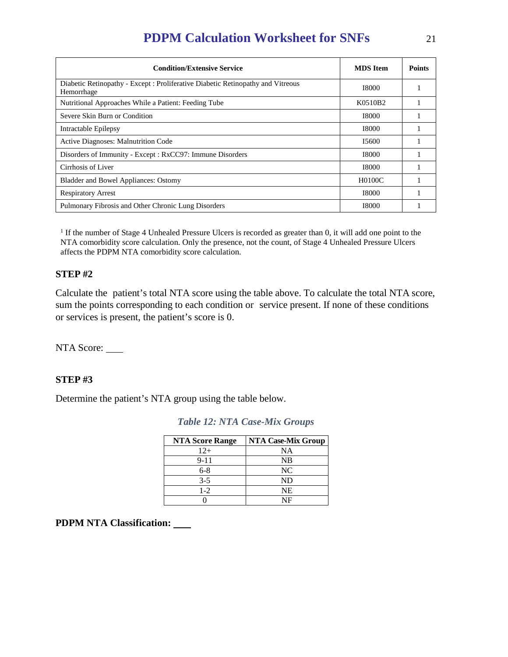| <b>Condition/Extensive Service</b>                                                            | <b>MDS</b> Item                  | <b>Points</b> |
|-----------------------------------------------------------------------------------------------|----------------------------------|---------------|
| Diabetic Retinopathy - Except : Proliferative Diabetic Retinopathy and Vitreous<br>Hemorrhage | <b>I8000</b>                     |               |
| Nutritional Approaches While a Patient: Feeding Tube                                          | K <sub>05</sub> 10 <sub>B2</sub> |               |
| Severe Skin Burn or Condition                                                                 | <b>I8000</b>                     |               |
| Intractable Epilepsy                                                                          | <b>I8000</b>                     |               |
| <b>Active Diagnoses: Malnutrition Code</b>                                                    | I5600                            |               |
| Disorders of Immunity - Except : RxCC97: Immune Disorders                                     | 18000                            |               |
| Cirrhosis of Liver                                                                            | <b>I8000</b>                     |               |
| Bladder and Bowel Appliances: Ostomy                                                          | H0100C                           |               |
| <b>Respiratory Arrest</b>                                                                     | <b>I8000</b>                     |               |
| Pulmonary Fibrosis and Other Chronic Lung Disorders                                           | <b>I8000</b>                     |               |

<sup>1</sup> If the number of Stage 4 Unhealed Pressure Ulcers is recorded as greater than 0, it will add one point to the NTA comorbidity score calculation. Only the presence, not the count, of Stage 4 Unhealed Pressure Ulcers affects the PDPM NTA comorbidity score calculation.

### **STEP #2**

Calculate the patient's total NTA score using the table above. To calculate the total NTA score, sum the points corresponding to each condition or service present. If none of these conditions or services is present, the patient's score is 0.

NTA Score:

#### **STEP #3**

Determine the patient's NTA group using the table below.

| <b>NTA Score Range</b> | <b>NTA Case-Mix Group</b> |
|------------------------|---------------------------|
| $12+$                  | <b>NA</b>                 |
| $9 - 11$               | <b>NB</b>                 |
| $6 - 8$                | NC                        |
| $3 - 5$                | ND                        |
| $1-2$                  | NE                        |
|                        | NF                        |

*Table 12: NTA Case-Mix Groups*

**PDPM NTA Classification:**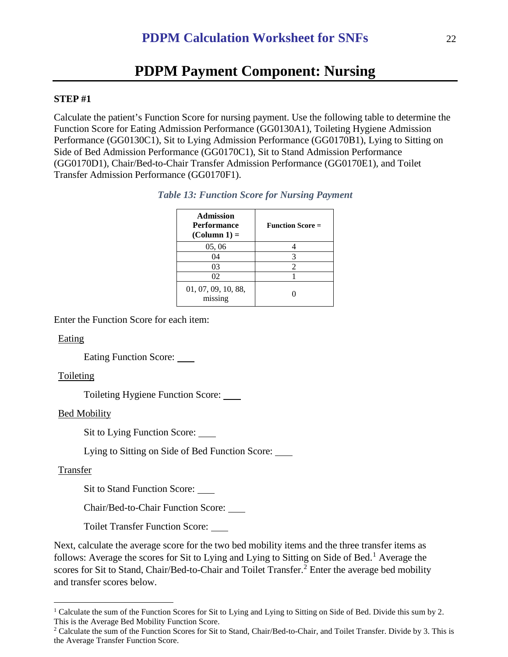# **PDPM Payment Component: Nursing**

#### **STEP #1**

Calculate the patient's Function Score for nursing payment. Use the following table to determine the Function Score for Eating Admission Performance (GG0130A1), Toileting Hygiene Admission Performance (GG0130C1), Sit to Lying Admission Performance (GG0170B1), Lying to Sitting on Side of Bed Admission Performance (GG0170C1), Sit to Stand Admission Performance (GG0170D1), Chair/Bed-to-Chair Transfer Admission Performance (GG0170E1), and Toilet Transfer Admission Performance (GG0170F1).

| <b>Admission</b><br><b>Performance</b><br>$(Column 1) =$ | <b>Function Score =</b> |
|----------------------------------------------------------|-------------------------|
| 05, 06                                                   |                         |
| 04                                                       | 3                       |
| 03                                                       | 2                       |
| 02                                                       |                         |
| 01, 07, 09, 10, 88,<br>missing                           |                         |

| <b>Table 13: Function Score for Nursing Payment</b> |  |  |  |
|-----------------------------------------------------|--|--|--|
|-----------------------------------------------------|--|--|--|

Enter the Function Score for each item:

Eating

Eating Function Score:

#### Toileting

Toileting Hygiene Function Score:

#### Bed Mobility

Sit to Lying Function Score:

Lying to Sitting on Side of Bed Function Score:

#### Transfer

Sit to Stand Function Score:

Chair/Bed-to-Chair Function Score:

Toilet Transfer Function Score:

Next, calculate the average score for the two bed mobility items and the three transfer items as follows: Average the scores for Sit to Lying and Lying to Sitting on Side of Bed.<sup>[1](#page-21-0)</sup> Average the scores for Sit to Stand, Chair/Bed-to-Chair and Toilet Transfer.<sup>[2](#page-21-1)</sup> Enter the average bed mobility and transfer scores below.

<span id="page-21-0"></span><sup>&</sup>lt;sup>1</sup> Calculate the sum of the Function Scores for Sit to Lying and Lying to Sitting on Side of Bed. Divide this sum by 2. This is the Average Bed Mobility Function Score.

<span id="page-21-1"></span><sup>&</sup>lt;sup>2</sup> Calculate the sum of the Function Scores for Sit to Stand, Chair/Bed-to-Chair, and Toilet Transfer. Divide by 3. This is the Average Transfer Function Score.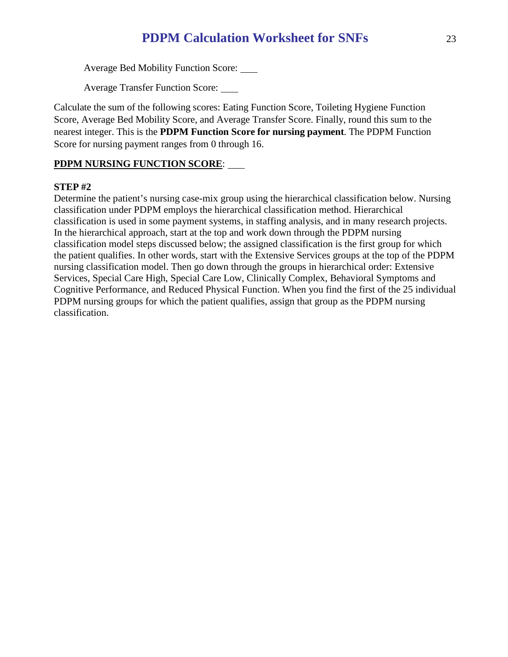Average Bed Mobility Function Score: \_\_\_\_

Average Transfer Function Score:

Calculate the sum of the following scores: Eating Function Score, Toileting Hygiene Function Score, Average Bed Mobility Score, and Average Transfer Score. Finally, round this sum to the nearest integer. This is the **PDPM Function Score for nursing payment**. The PDPM Function Score for nursing payment ranges from 0 through 16.

# **PDPM NURSING FUNCTION SCORE**:

### **STEP #2**

Determine the patient's nursing case-mix group using the hierarchical classification below. Nursing classification under PDPM employs the hierarchical classification method. Hierarchical classification is used in some payment systems, in staffing analysis, and in many research projects. In the hierarchical approach, start at the top and work down through the PDPM nursing classification model steps discussed below; the assigned classification is the first group for which the patient qualifies. In other words, start with the Extensive Services groups at the top of the PDPM nursing classification model. Then go down through the groups in hierarchical order: Extensive Services, Special Care High, Special Care Low, Clinically Complex, Behavioral Symptoms and Cognitive Performance, and Reduced Physical Function. When you find the first of the 25 individual PDPM nursing groups for which the patient qualifies, assign that group as the PDPM nursing classification.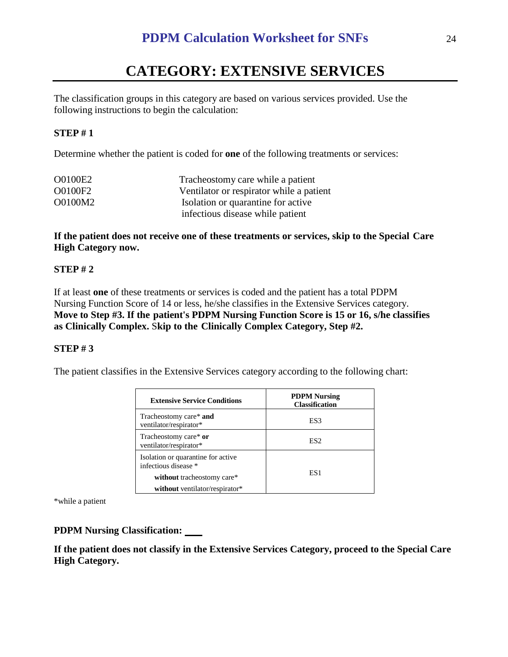# **CATEGORY: EXTENSIVE SERVICES**

The classification groups in this category are based on various services provided. Use the following instructions to begin the calculation:

#### **STEP # 1**

Determine whether the patient is coded for **one** of the following treatments or services:

| O0100E2 | Tracheostomy care while a patient        |
|---------|------------------------------------------|
| O0100F2 | Ventilator or respirator while a patient |
| O0100M2 | Isolation or quarantine for active       |
|         | infectious disease while patient         |

**If the patient does not receive one of these treatments or services, skip to the Special Care High Category now.**

#### **STEP # 2**

If at least **one** of these treatments or services is coded and the patient has a total PDPM Nursing Function Score of 14 or less, he/she classifies in the Extensive Services category. **Move to Step #3. If the patient's PDPM Nursing Function Score is 15 or 16, s/he classifies as Clinically Complex.** S**kip to the Clinically Complex Category, Step #2.**

#### **STEP # 3**

The patient classifies in the Extensive Services category according to the following chart:

| <b>Extensive Service Conditions</b>                        | <b>PDPM Nursing</b><br><b>Classification</b> |
|------------------------------------------------------------|----------------------------------------------|
| Tracheostomy care* and<br>ventilator/respirator*           | ES3                                          |
| Tracheostomy care* or<br>ventilator/respirator*            | ES <sub>2</sub>                              |
| Isolation or quarantine for active<br>infectious disease * |                                              |
| without tracheostomy care*                                 | ES1                                          |
| without ventilator/respirator*                             |                                              |

\*while a patient

#### **PDPM Nursing Classification:**

**If the patient does not classify in the Extensive Services Category, proceed to the Special Care High Category.**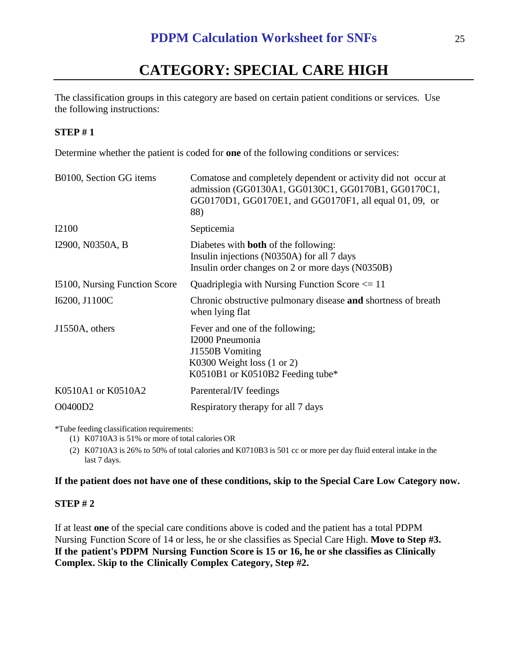# **CATEGORY: SPECIAL CARE HIGH**

The classification groups in this category are based on certain patient conditions or services. Use the following instructions:

# **STEP # 1**

Determine whether the patient is coded for **one** of the following conditions or services:

| B0100, Section GG items       | Comatose and completely dependent or activity did not occur at<br>admission (GG0130A1, GG0130C1, GG0170B1, GG0170C1,<br>GG0170D1, GG0170E1, and GG0170F1, all equal 01, 09, or<br>88) |
|-------------------------------|---------------------------------------------------------------------------------------------------------------------------------------------------------------------------------------|
| I2100                         | Septicemia                                                                                                                                                                            |
| I2900, N0350A, B              | Diabetes with <b>both</b> of the following:<br>Insulin injections (N0350A) for all 7 days<br>Insulin order changes on 2 or more days (N0350B)                                         |
| 15100, Nursing Function Score | Quadriplegia with Nursing Function Score $\leq 11$                                                                                                                                    |
| I6200, J1100C                 | Chronic obstructive pulmonary disease and shortness of breath<br>when lying flat                                                                                                      |
| J1550A, others                | Fever and one of the following;<br>I2000 Pneumonia<br>J1550B Vomiting<br>K0300 Weight loss $(1 \text{ or } 2)$<br>K0510B1 or K0510B2 Feeding tube*                                    |
| K0510A1 or K0510A2            | Parenteral/IV feedings                                                                                                                                                                |
| O0400D2                       | Respiratory therapy for all 7 days                                                                                                                                                    |

\*Tube feeding classification requirements:

(1) K0710A3 is 51% or more of total calories OR

(2) K0710A3 is 26% to 50% of total calories and K0710B3 is 501 cc or more per day fluid enteral intake in the last 7 days.

## **If the patient does not have one of these conditions, skip to the Special Care Low Category now.**

## **STEP # 2**

If at least **one** of the special care conditions above is coded and the patient has a total PDPM Nursing Function Score of 14 or less, he or she classifies as Special Care High. **Move to Step #3. If the patient's PDPM Nursing Function Score is 15 or 16, he or she classifies as Clinically Complex.** S**kip to the Clinically Complex Category, Step #2.**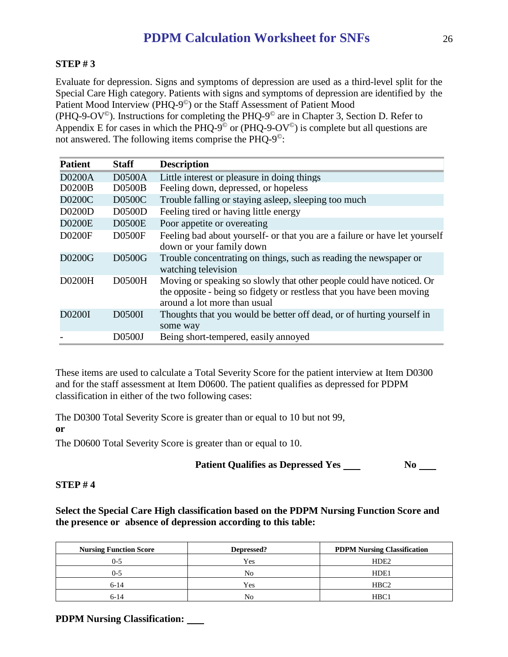# **STEP # 3**

Evaluate for depression. Signs and symptoms of depression are used as a third-level split for the Special Care High category. Patients with signs and symptoms of depression are identified by the Patient Mood Interview (PHQ-9©) or the Staff Assessment of Patient Mood

(PHQ-9-OV<sup> $\odot$ </sup>). Instructions for completing the PHQ-9 $\odot$  are in Chapter 3, Section D. Refer to Appendix E for cases in which the PHQ-9<sup> $\degree$ </sup> or (PHQ-9-OV<sup> $\degree$ </sup>) is complete but all questions are not answered. The following items comprise the PHQ-9©:

| <b>Patient</b> | <b>Staff</b>  | <b>Description</b>                                                                                                                                                             |
|----------------|---------------|--------------------------------------------------------------------------------------------------------------------------------------------------------------------------------|
| <b>D0200A</b>  | <b>D0500A</b> | Little interest or pleasure in doing things                                                                                                                                    |
| <b>D0200B</b>  | <b>D0500B</b> | Feeling down, depressed, or hopeless                                                                                                                                           |
| <b>D0200C</b>  | D0500C        | Trouble falling or staying asleep, sleeping too much                                                                                                                           |
| D0200D         | <b>D0500D</b> | Feeling tired or having little energy                                                                                                                                          |
| <b>D0200E</b>  | <b>D0500E</b> | Poor appetite or overeating                                                                                                                                                    |
| D0200F         | <b>D0500F</b> | Feeling bad about yourself- or that you are a failure or have let yourself<br>down or your family down                                                                         |
| D0200G         | D0500G        | Trouble concentrating on things, such as reading the newspaper or<br>watching television                                                                                       |
| D0200H         | D0500H        | Moving or speaking so slowly that other people could have noticed. Or<br>the opposite - being so fidgety or restless that you have been moving<br>around a lot more than usual |
| D0200I         | D0500I        | Thoughts that you would be better off dead, or of hurting yourself in<br>some way                                                                                              |
|                | D0500J        | Being short-tempered, easily annoyed                                                                                                                                           |

These items are used to calculate a Total Severity Score for the patient interview at Item D0300 and for the staff assessment at Item D0600. The patient qualifies as depressed for PDPM classification in either of the two following cases:

The D0300 Total Severity Score is greater than or equal to 10 but not 99, **or**

The D0600 Total Severity Score is greater than or equal to 10.

## **Patient Qualifies as Depressed Yes No**

#### **STEP # 4**

## **Select the Special Care High classification based on the PDPM Nursing Function Score and the presence or absence of depression according to this table:**

| <b>Nursing Function Score</b> | Depressed? | <b>PDPM Nursing Classification</b> |
|-------------------------------|------------|------------------------------------|
| 0-5                           | Yes        | HDE <sub>2</sub>                   |
| 0-5                           | No         | HDE1                               |
| $6-14$                        | Yes        | HBC <sub>2</sub>                   |
| 6-14                          | No         | HBC1                               |

**PDPM Nursing Classification:**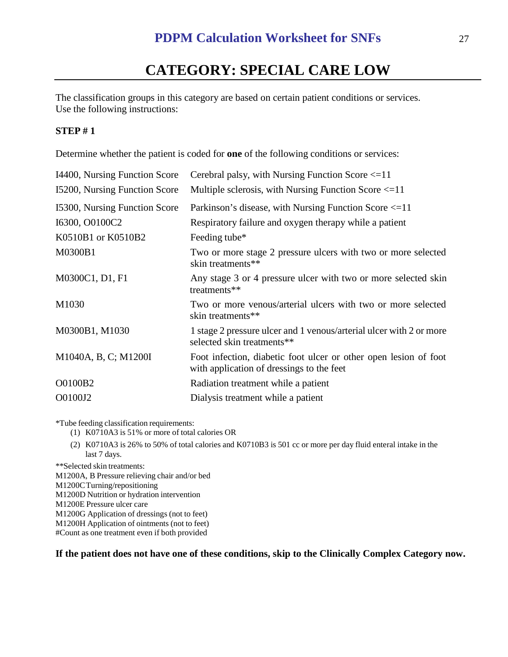# **CATEGORY: SPECIAL CARE LOW**

The classification groups in this category are based on certain patient conditions or services. Use the following instructions:

#### **STEP # 1**

Determine whether the patient is coded for **one** of the following conditions or services:

| 14400, Nursing Function Score | Cerebral palsy, with Nursing Function Score $\leq 11$                                                         |
|-------------------------------|---------------------------------------------------------------------------------------------------------------|
| 15200, Nursing Function Score | Multiple sclerosis, with Nursing Function Score $\leq 11$                                                     |
| 15300, Nursing Function Score | Parkinson's disease, with Nursing Function Score <= 11                                                        |
| I6300, O0100C2                | Respiratory failure and oxygen therapy while a patient                                                        |
| K0510B1 or K0510B2            | Feeding tube*                                                                                                 |
| M0300B1                       | Two or more stage 2 pressure ulcers with two or more selected<br>skin treatments**                            |
| M0300C1, D1, F1               | Any stage 3 or 4 pressure ulcer with two or more selected skin<br>treatments**                                |
| M1030                         | Two or more venous/arterial ulcers with two or more selected<br>skin treatments**                             |
| M0300B1, M1030                | 1 stage 2 pressure ulcer and 1 venous/arterial ulcer with 2 or more<br>selected skin treatments**             |
| M1040A, B, C; M1200I          | Foot infection, diabetic foot ulcer or other open lesion of foot<br>with application of dressings to the feet |
| O0100B2                       | Radiation treatment while a patient                                                                           |
| O0100J2                       | Dialysis treatment while a patient                                                                            |

\*Tube feeding classification requirements:

- (1) K0710A3 is 51% or more of total calories OR
- (2) K0710A3 is 26% to 50% of total calories and K0710B3 is 501 cc or more per day fluid enteral intake in the last 7 days.

\*\*Selected skin treatments:

M1200A, B Pressure relieving chair and/or bed

M1200CTurning/repositioning

M1200D Nutrition or hydration intervention

M1200E Pressure ulcer care

M1200G Application of dressings (not to feet)

M1200H Application of ointments (not to feet)

#Count as one treatment even if both provided

#### **If the patient does not have one of these conditions, skip to the Clinically Complex Category now.**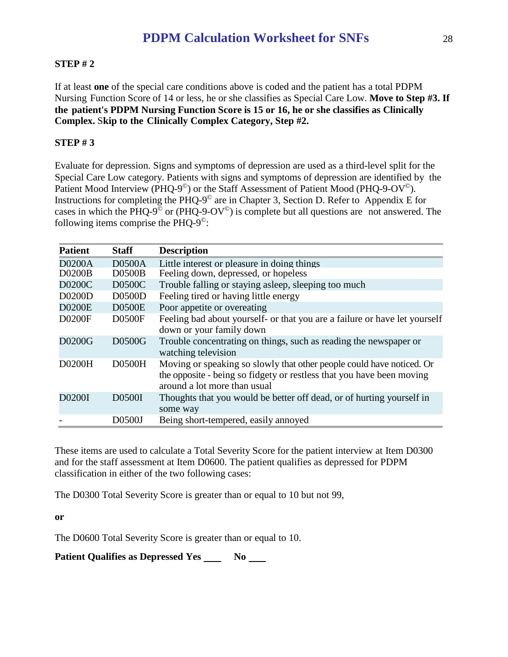# **STEP # 2**

If at least **one** of the special care conditions above is coded and the patient has a total PDPM Nursing Function Score of 14 or less, he or she classifies as Special Care Low. **Move to Step #3. If the patient's PDPM Nursing Function Score is 15 or 16, he or she classifies as Clinically Complex.** S**kip to the Clinically Complex Category, Step #2.**

### **STEP # 3**

Evaluate for depression. Signs and symptoms of depression are used as a third-level split for the Special Care Low category. Patients with signs and symptoms of depression are identified by the Patient Mood Interview (PHQ-9<sup>o</sup>) or the Staff Assessment of Patient Mood (PHQ-9-OV<sup>o</sup>). Instructions for completing the PHQ-9© are in Chapter 3, Section D. Refer to Appendix E for cases in which the PHQ-9<sup> $\degree$ </sup> or (PHQ-9- $\rm O$ V $\degree$ ) is complete but all questions are not answered. The following items comprise the PHQ-9©:

| <b>Patient</b> | <b>Staff</b>  | <b>Description</b>                                                                                                                                                             |
|----------------|---------------|--------------------------------------------------------------------------------------------------------------------------------------------------------------------------------|
| <b>D0200A</b>  | <b>D0500A</b> | Little interest or pleasure in doing things                                                                                                                                    |
| <b>D0200B</b>  | <b>D0500B</b> | Feeling down, depressed, or hopeless                                                                                                                                           |
| D0200C         | D0500C        | Trouble falling or staying asleep, sleeping too much                                                                                                                           |
| D0200D         | <b>D0500D</b> | Feeling tired or having little energy                                                                                                                                          |
| <b>D0200E</b>  | <b>D0500E</b> | Poor appetite or overeating                                                                                                                                                    |
| D0200F         | <b>D0500F</b> | Feeling bad about yourself- or that you are a failure or have let yourself<br>down or your family down                                                                         |
| D0200G         | D0500G        | Trouble concentrating on things, such as reading the newspaper or<br>watching television                                                                                       |
| D0200H         | <b>D0500H</b> | Moving or speaking so slowly that other people could have noticed. Or<br>the opposite - being so fidgety or restless that you have been moving<br>around a lot more than usual |
| D0200I         | D0500I        | Thoughts that you would be better off dead, or of hurting yourself in<br>some way                                                                                              |
|                | D0500J        | Being short-tempered, easily annoyed                                                                                                                                           |

These items are used to calculate a Total Severity Score for the patient interview at Item D0300 and for the staff assessment at Item D0600. The patient qualifies as depressed for PDPM classification in either of the two following cases:

The D0300 Total Severity Score is greater than or equal to 10 but not 99,

**or**

The D0600 Total Severity Score is greater than or equal to 10.

**Patient Qualifies as Depressed Yes No No Ref.**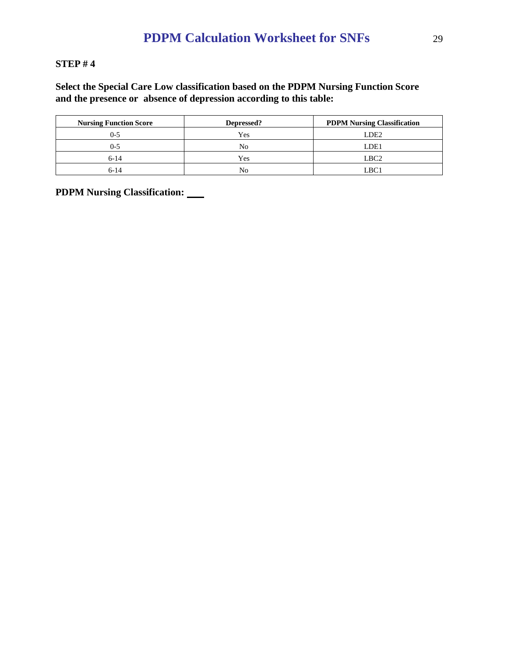#### **STEP # 4**

### **Select the Special Care Low classification based on the PDPM Nursing Function Score and the presence or absence of depression according to this table:**

| <b>Nursing Function Score</b> | Depressed? | <b>PDPM Nursing Classification</b> |
|-------------------------------|------------|------------------------------------|
| ()-5                          | Yes        | LDE <sub>2</sub>                   |
| ()-5                          | No         | LDE1                               |
| $6 - 14$                      | Yes        | LBC <sub>2</sub>                   |
| 6-14                          | No         | LBC.                               |

**PDPM Nursing Classification:**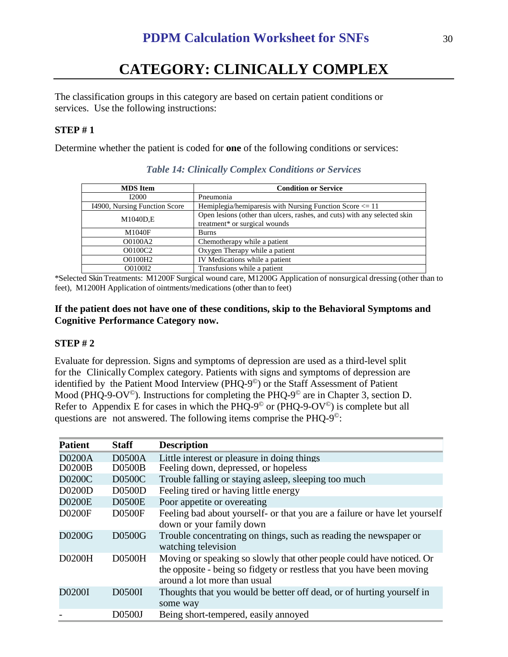# **CATEGORY: CLINICALLY COMPLEX**

The classification groups in this category are based on certain patient conditions or services. Use the following instructions:

### **STEP # 1**

Determine whether the patient is coded for **one** of the following conditions or services:

| <b>MDS</b> Item               | <b>Condition or Service</b>                                               |
|-------------------------------|---------------------------------------------------------------------------|
| <b>I2000</b>                  | Pneumonia                                                                 |
| 14900, Nursing Function Score | Hemiplegia/hemiparesis with Nursing Function Score $\leq 11$              |
| M1040D,E                      | Open lesions (other than ulcers, rashes, and cuts) with any selected skin |
|                               | treatment* or surgical wounds                                             |
| M1040F                        | <b>Burns</b>                                                              |
| O0100A2                       | Chemotherapy while a patient                                              |
| O0100C2                       | Oxygen Therapy while a patient                                            |
| O0100H2                       | IV Medications while a patient                                            |
| O0100I2                       | Transfusions while a patient                                              |

*Table 14: Clinically Complex Conditions or Services*

\*Selected SkinTreatments: M1200F Surgical wound care, M1200G Application of nonsurgical dressing (other than to feet), M1200H Application of ointments/medications (other than to feet)

#### **If the patient does not have one of these conditions, skip to the Behavioral Symptoms and Cognitive Performance Category now.**

#### **STEP # 2**

Evaluate for depression. Signs and symptoms of depression are used as a third-level split for the Clinically Complex category. Patients with signs and symptoms of depression are identified by the Patient Mood Interview (PHQ-9©) or the Staff Assessment of Patient Mood (PHQ-9-OV<sup> $\circ$ </sup>). Instructions for completing the PHQ-9<sup> $\circ$ </sup> are in Chapter 3, section D. Refer to Appendix E for cases in which the PHQ-9<sup> $\degree$ </sup> or (PHQ-9-OV $\degree$ ) is complete but all questions are not answered. The following items comprise the PHQ-9©:

| <b>Patient</b> | <b>Staff</b>  | <b>Description</b>                                                                                                                                                             |
|----------------|---------------|--------------------------------------------------------------------------------------------------------------------------------------------------------------------------------|
| <b>D0200A</b>  | <b>D0500A</b> | Little interest or pleasure in doing things                                                                                                                                    |
| D0200B         | <b>D0500B</b> | Feeling down, depressed, or hopeless                                                                                                                                           |
| D0200C         | D0500C        | Trouble falling or staying asleep, sleeping too much                                                                                                                           |
| D0200D         | <b>D0500D</b> | Feeling tired or having little energy                                                                                                                                          |
| <b>D0200E</b>  | <b>D0500E</b> | Poor appetite or overeating                                                                                                                                                    |
| <b>D0200F</b>  | <b>D0500F</b> | Feeling bad about yourself- or that you are a failure or have let yourself<br>down or your family down                                                                         |
| D0200G         | D0500G        | Trouble concentrating on things, such as reading the newspaper or<br>watching television                                                                                       |
| D0200H         | <b>D0500H</b> | Moving or speaking so slowly that other people could have noticed. Or<br>the opposite - being so fidgety or restless that you have been moving<br>around a lot more than usual |
| D0200I         | D0500I        | Thoughts that you would be better off dead, or of hurting yourself in<br>some way                                                                                              |
|                | D0500J        | Being short-tempered, easily annoyed                                                                                                                                           |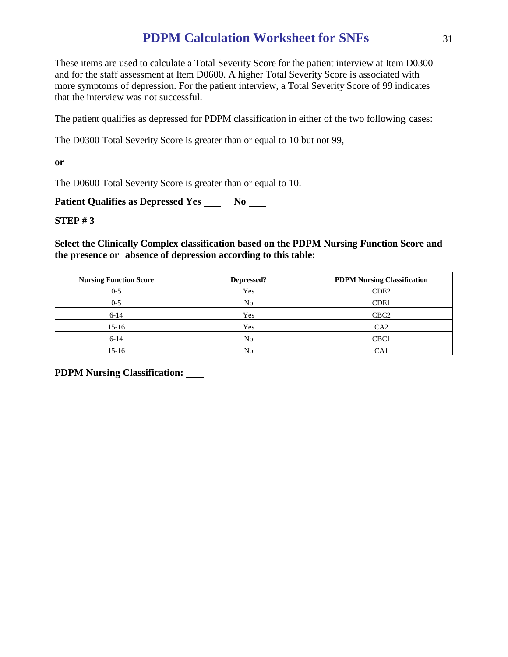These items are used to calculate a Total Severity Score for the patient interview at Item D0300 and for the staff assessment at Item D0600. A higher Total Severity Score is associated with more symptoms of depression. For the patient interview, a Total Severity Score of 99 indicates that the interview was not successful.

The patient qualifies as depressed for PDPM classification in either of the two following cases:

The D0300 Total Severity Score is greater than or equal to 10 but not 99,

**or**

The D0600 Total Severity Score is greater than or equal to 10.

**Patient Qualifies as Depressed Yes** No

**STEP # 3**

**Select the Clinically Complex classification based on the PDPM Nursing Function Score and the presence or absence of depression according to this table:**

| <b>Nursing Function Score</b> | Depressed? | <b>PDPM Nursing Classification</b> |
|-------------------------------|------------|------------------------------------|
| $0 - 5$                       | Yes        | CDE <sub>2</sub>                   |
| $0 - 5$                       | No         | CDE1                               |
| $6-14$                        | Yes        | CBC <sub>2</sub>                   |
| $15-16$                       | Yes        | CA2                                |
| $6-14$                        | No         | CBC <sub>1</sub>                   |
| 15-16                         | No         | CA1                                |

**PDPM Nursing Classification:**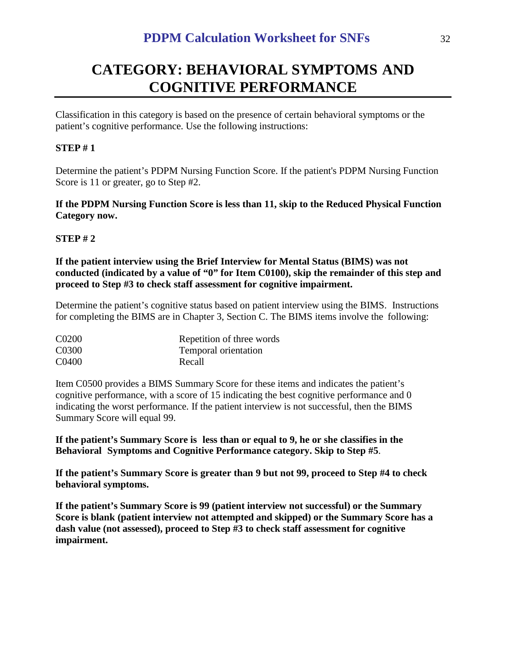# **CATEGORY: BEHAVIORAL SYMPTOMS AND COGNITIVE PERFORMANCE**

Classification in this category is based on the presence of certain behavioral symptoms or the patient's cognitive performance. Use the following instructions:

# **STEP # 1**

Determine the patient's PDPM Nursing Function Score. If the patient's PDPM Nursing Function Score is 11 or greater, go to Step #2.

**If the PDPM Nursing Function Score is less than 11, skip to the Reduced Physical Function Category now.** 

## **STEP # 2**

**If the patient interview using the Brief Interview for Mental Status (BIMS) was not conducted (indicated by a value of "0" for Item C0100), skip the remainder of this step and proceed to Step #3 to check staff assessment for cognitive impairment.**

Determine the patient's cognitive status based on patient interview using the BIMS. Instructions for completing the BIMS are in Chapter 3, Section C. The BIMS items involve the following:

| C0200 | Repetition of three words |
|-------|---------------------------|
| C0300 | Temporal orientation      |
| C0400 | Recall                    |

Item C0500 provides a BIMS Summary Score for these items and indicates the patient's cognitive performance, with a score of 15 indicating the best cognitive performance and 0 indicating the worst performance. If the patient interview is not successful, then the BIMS Summary Score will equal 99.

**If the patient's Summary Score is less than or equal to 9, he or she classifies in the Behavioral Symptoms and Cognitive Performance category. Skip to Step #5**.

**If the patient's Summary Score is greater than 9 but not 99, proceed to Step #4 to check behavioral symptoms.**

**If the patient's Summary Score is 99 (patient interview not successful) or the Summary Score is blank (patient interview not attempted and skipped) or the Summary Score has a dash value (not assessed), proceed to Step #3 to check staff assessment for cognitive impairment.**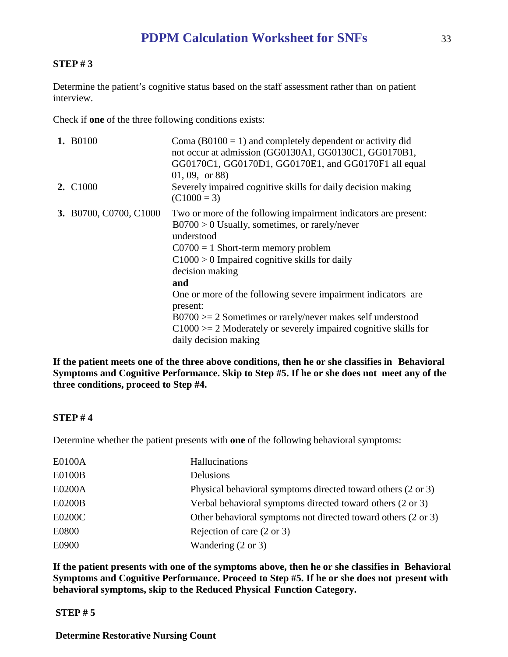#### **STEP # 3**

Determine the patient's cognitive status based on the staff assessment rather than on patient interview.

Check if **one** of the three following conditions exists:

| 1. B0100                    | Coma ( $B0100 = 1$ ) and completely dependent or activity did<br>not occur at admission (GG0130A1, GG0130C1, GG0170B1,<br>GG0170C1, GG0170D1, GG0170E1, and GG0170F1 all equal<br>$(01, 09, \text{ or } 88)$                                                                                                                                                                                                                                                                                      |
|-----------------------------|---------------------------------------------------------------------------------------------------------------------------------------------------------------------------------------------------------------------------------------------------------------------------------------------------------------------------------------------------------------------------------------------------------------------------------------------------------------------------------------------------|
| <b>2.</b> C <sub>1000</sub> | Severely impaired cognitive skills for daily decision making<br>$(C1000 = 3)$                                                                                                                                                                                                                                                                                                                                                                                                                     |
| 3. B0700, C0700, C1000      | Two or more of the following impairment indicators are present:<br>$B0700 > 0$ Usually, sometimes, or rarely/never<br>understood<br>$C0700 = 1$ Short-term memory problem<br>$C1000 > 0$ Impaired cognitive skills for daily<br>decision making<br>and<br>One or more of the following severe impairment indicators are<br>present:<br>$B0700 \ge 2$ Sometimes or rarely/never makes self understood<br>$C1000 = 2$ Moderately or severely impaired cognitive skills for<br>daily decision making |

**If the patient meets one of the three above conditions, then he or she classifies in Behavioral Symptoms and Cognitive Performance. Skip to Step #5. If he or she does not meet any of the three conditions, proceed to Step #4.**

#### **STEP # 4**

Determine whether the patient presents with **one** of the following behavioral symptoms:

| E0100A        | Hallucinations                                                |
|---------------|---------------------------------------------------------------|
| <b>E0100B</b> | <b>Delusions</b>                                              |
| E0200A        | Physical behavioral symptoms directed toward others (2 or 3)  |
| <b>E0200B</b> | Verbal behavioral symptoms directed toward others (2 or 3)    |
| E0200C        | Other behavioral symptoms not directed toward others (2 or 3) |
| E0800         | Rejection of care $(2 \text{ or } 3)$                         |
| E0900         | Wandering $(2 \text{ or } 3)$                                 |

**If the patient presents with one of the symptoms above, then he or she classifies in Behavioral Symptoms and Cognitive Performance. Proceed to Step #5. If he or she does not present with behavioral symptoms, skip to the Reduced Physical Function Category.**

#### **STEP # 5**

**Determine Restorative Nursing Count**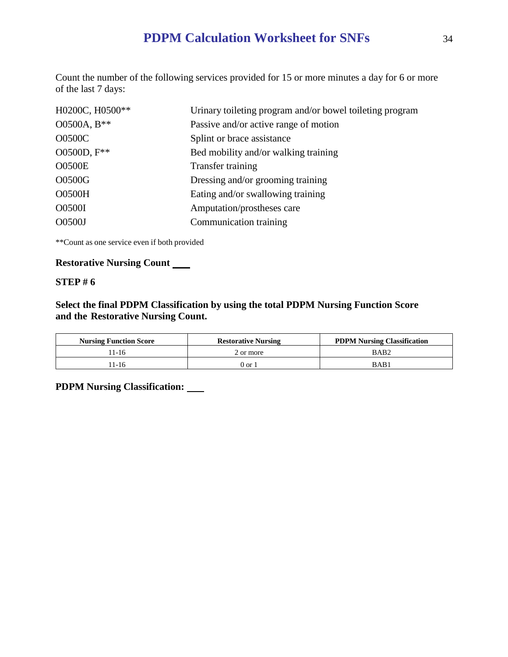Count the number of the following services provided for 15 or more minutes a day for 6 or more of the last 7 days:

| H0200C, H0500** | Urinary toileting program and/or bowel toileting program |
|-----------------|----------------------------------------------------------|
| O0500A, B**     | Passive and/or active range of motion                    |
| <b>O0500C</b>   | Splint or brace assistance                               |
| O0500D, F**     | Bed mobility and/or walking training                     |
| <b>O0500E</b>   | Transfer training                                        |
| O0500G          | Dressing and/or grooming training                        |
| <b>O0500H</b>   | Eating and/or swallowing training                        |
| O0500I          | Amputation/prostheses care                               |
| O0500J          | Communication training                                   |

\*\*Count as one service even if both provided

# **Restorative Nursing Count**

#### **STEP # 6**

**Select the final PDPM Classification by using the total PDPM Nursing Function Score and the Restorative Nursing Count.**

| <b>Nursing Function Score</b> | <b>Restorative Nursing</b> | <b>PDPM Nursing Classification</b> |
|-------------------------------|----------------------------|------------------------------------|
| 11-16                         | 2 or more                  | BAB <sub>2</sub>                   |
| 1-16                          | $0$ or                     | BAB1                               |

**PDPM Nursing Classification:**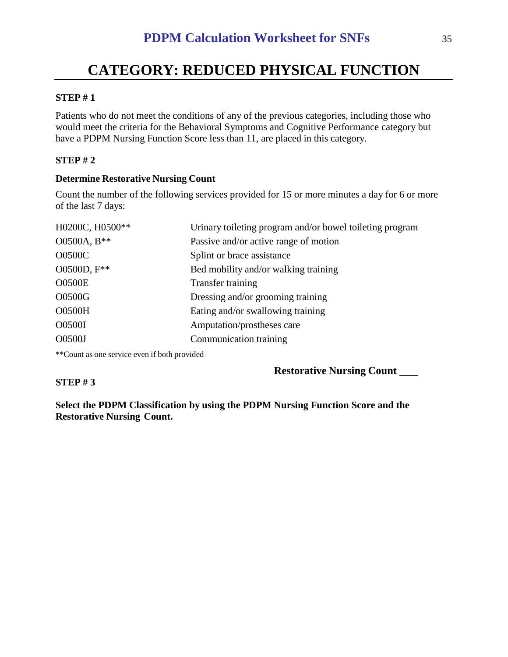# **CATEGORY: REDUCED PHYSICAL FUNCTION**

#### **STEP # 1**

Patients who do not meet the conditions of any of the previous categories, including those who would meet the criteria for the Behavioral Symptoms and Cognitive Performance category but have a PDPM Nursing Function Score less than 11, are placed in this category.

### **STEP # 2**

**STEP # 3**

#### **Determine Restorative Nursing Count**

Count the number of the following services provided for 15 or more minutes a day for 6 or more of the last 7 days:

| H0200C, H0500** | Urinary toileting program and/or bowel toileting program |
|-----------------|----------------------------------------------------------|
| O0500A, B**     | Passive and/or active range of motion                    |
| <b>O0500C</b>   | Splint or brace assistance                               |
| O0500D, F**     | Bed mobility and/or walking training                     |
| <b>O0500E</b>   | Transfer training                                        |
| O0500G          | Dressing and/or grooming training                        |
| <b>O0500H</b>   | Eating and/or swallowing training                        |
| O0500I          | Amputation/prostheses care                               |
| O0500J          | Communication training                                   |

\*\*Count as one service even if both provided

#### **Restorative Nursing Count**

**Select the PDPM Classification by using the PDPM Nursing Function Score and the Restorative Nursing Count.**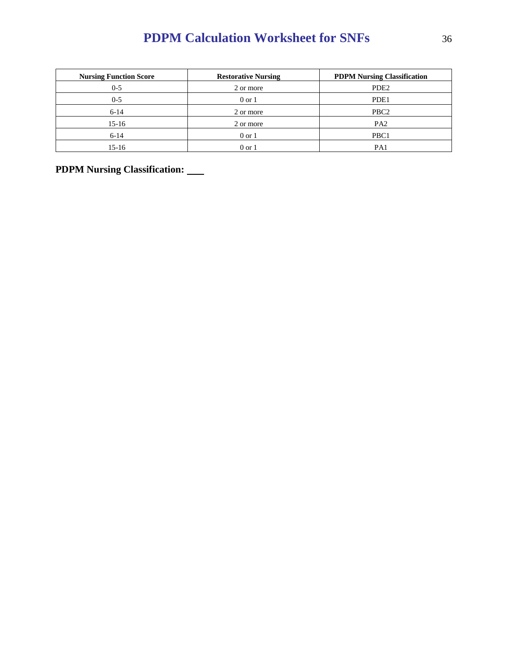| <b>Nursing Function Score</b> | <b>Restorative Nursing</b> | <b>PDPM Nursing Classification</b> |
|-------------------------------|----------------------------|------------------------------------|
| $0 - 5$                       | 2 or more                  | PDE <sub>2</sub>                   |
| $0 - 5$                       | $0 \text{ or } 1$          | PDE1                               |
| $6 - 14$                      | 2 or more                  | PBC <sub>2</sub>                   |
| $15-16$                       | 2 or more                  | PA <sub>2</sub>                    |
| $6 - 14$                      | $0 \text{ or } 1$          | PBC <sub>1</sub>                   |
| 15-16                         | $0 \text{ or } 1$          | PA1                                |

**PDPM Nursing Classification:**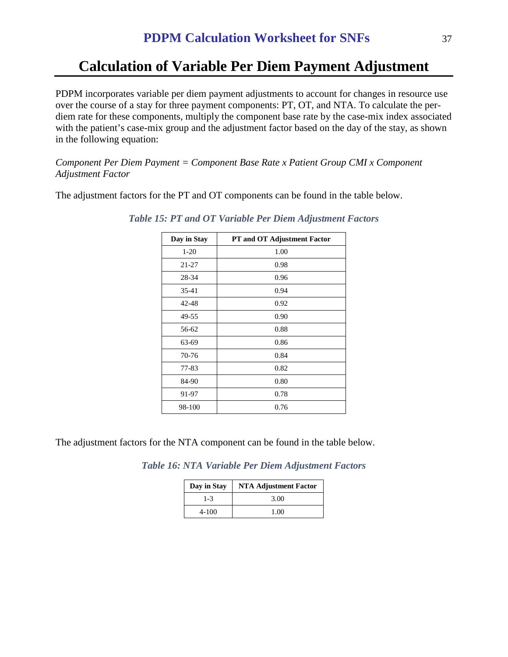# **Calculation of Variable Per Diem Payment Adjustment**

PDPM incorporates variable per diem payment adjustments to account for changes in resource use over the course of a stay for three payment components: PT, OT, and NTA. To calculate the perdiem rate for these components, multiply the component base rate by the case-mix index associated with the patient's case-mix group and the adjustment factor based on the day of the stay, as shown in the following equation:

*Component Per Diem Payment = Component Base Rate x Patient Group CMI x Component Adjustment Factor*

The adjustment factors for the PT and OT components can be found in the table below.

| Day in Stay | PT and OT Adjustment Factor |
|-------------|-----------------------------|
| $1-20$      | 1.00                        |
| 21-27       | 0.98                        |
| 28-34       | 0.96                        |
| 35-41       | 0.94                        |
| $42 - 48$   | 0.92                        |
| 49-55       | 0.90                        |
| 56-62       | 0.88                        |
| 63-69       | 0.86                        |
| 70-76       | 0.84                        |
| 77-83       | 0.82                        |
| 84-90       | 0.80                        |
| 91-97       | 0.78                        |
| 98-100      | 0.76                        |

*Table 15: PT and OT Variable Per Diem Adjustment Factors*

The adjustment factors for the NTA component can be found in the table below.

*Table 16: NTA Variable Per Diem Adjustment Factors*

| Day in Stay | <b>NTA Adjustment Factor</b> |
|-------------|------------------------------|
| $1 - 3$     | 3.00                         |
| 4-100       | 1.00                         |